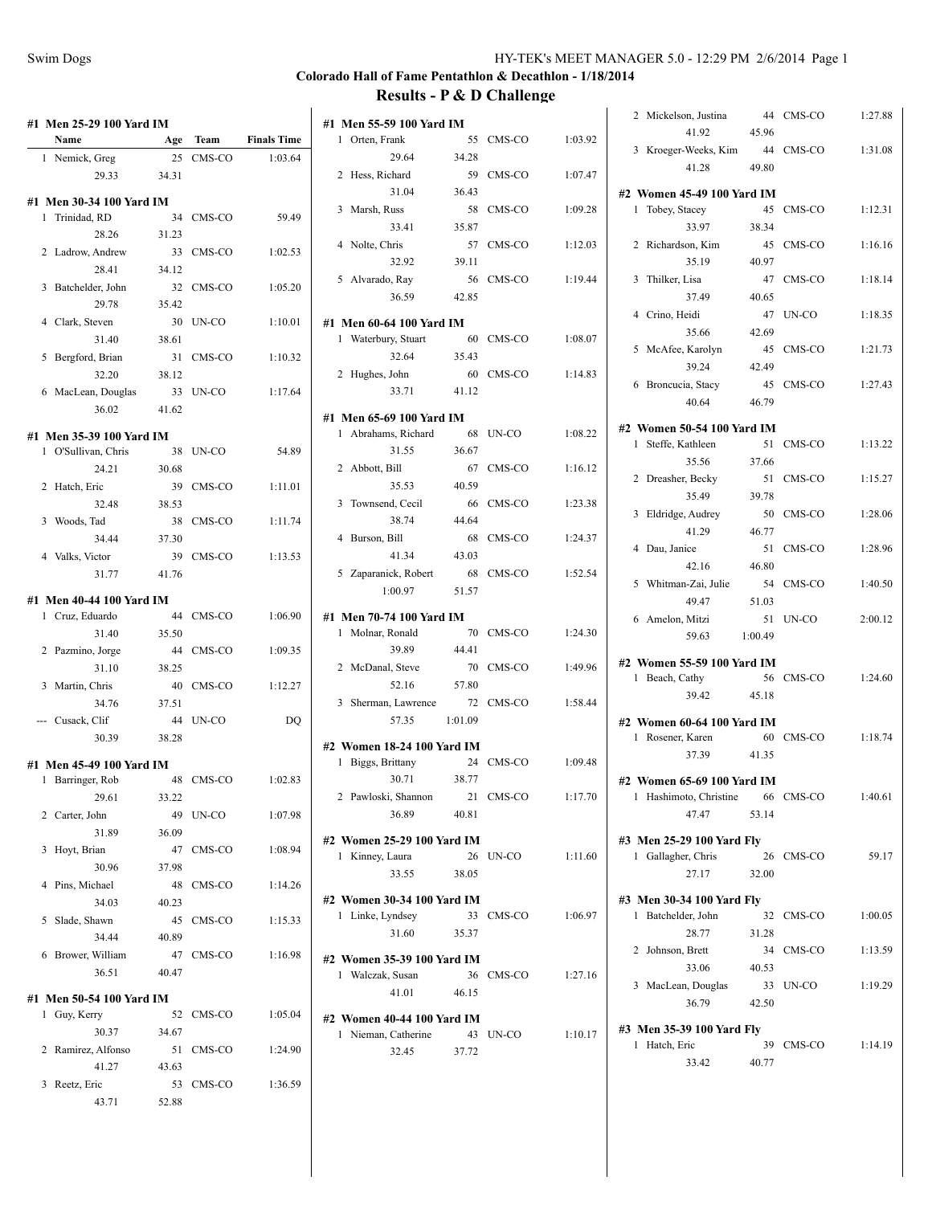### **Colorado Hall of Fame Pentathlon & Decathlon - 1/18/2014 Results - P & D Challenge**  $\mathbf{r}$  $\mathbf{r}$

|                        |                                                                                                                                                                                                                                                                                                                                                                                                                                                                                                                                                    |                                                                                                                                                                                                                                                                |                                                                                                                                                                                                                                                                                                                |                                                                                                                                                 |                                                                                                                                                                                                                                                                                                            |                                                                                                                                                                                        |                                                                                                                                                                                                                                                                                                                                                                                                                                  |                                                                                                 |       |                                                                                                                                                                                                                                                                                                                                                                                                                                                                                                                                             |                                                                                                                                                                                                                          | 1:27.88                                                                                                                                                                                                                                                                                                                                                                                                                                                                           |
|------------------------|----------------------------------------------------------------------------------------------------------------------------------------------------------------------------------------------------------------------------------------------------------------------------------------------------------------------------------------------------------------------------------------------------------------------------------------------------------------------------------------------------------------------------------------------------|----------------------------------------------------------------------------------------------------------------------------------------------------------------------------------------------------------------------------------------------------------------|----------------------------------------------------------------------------------------------------------------------------------------------------------------------------------------------------------------------------------------------------------------------------------------------------------------|-------------------------------------------------------------------------------------------------------------------------------------------------|------------------------------------------------------------------------------------------------------------------------------------------------------------------------------------------------------------------------------------------------------------------------------------------------------------|----------------------------------------------------------------------------------------------------------------------------------------------------------------------------------------|----------------------------------------------------------------------------------------------------------------------------------------------------------------------------------------------------------------------------------------------------------------------------------------------------------------------------------------------------------------------------------------------------------------------------------|-------------------------------------------------------------------------------------------------|-------|---------------------------------------------------------------------------------------------------------------------------------------------------------------------------------------------------------------------------------------------------------------------------------------------------------------------------------------------------------------------------------------------------------------------------------------------------------------------------------------------------------------------------------------------|--------------------------------------------------------------------------------------------------------------------------------------------------------------------------------------------------------------------------|-----------------------------------------------------------------------------------------------------------------------------------------------------------------------------------------------------------------------------------------------------------------------------------------------------------------------------------------------------------------------------------------------------------------------------------------------------------------------------------|
| Name                   |                                                                                                                                                                                                                                                                                                                                                                                                                                                                                                                                                    |                                                                                                                                                                                                                                                                | <b>Finals Time</b>                                                                                                                                                                                                                                                                                             | 1 Orten, Frank                                                                                                                                  |                                                                                                                                                                                                                                                                                                            |                                                                                                                                                                                        | 1:03.92                                                                                                                                                                                                                                                                                                                                                                                                                          |                                                                                                 |       |                                                                                                                                                                                                                                                                                                                                                                                                                                                                                                                                             |                                                                                                                                                                                                                          | 1:31.08                                                                                                                                                                                                                                                                                                                                                                                                                                                                           |
|                        |                                                                                                                                                                                                                                                                                                                                                                                                                                                                                                                                                    |                                                                                                                                                                                                                                                                | 1:03.64                                                                                                                                                                                                                                                                                                        | 29.64                                                                                                                                           | 34.28                                                                                                                                                                                                                                                                                                      |                                                                                                                                                                                        |                                                                                                                                                                                                                                                                                                                                                                                                                                  |                                                                                                 |       |                                                                                                                                                                                                                                                                                                                                                                                                                                                                                                                                             |                                                                                                                                                                                                                          |                                                                                                                                                                                                                                                                                                                                                                                                                                                                                   |
| 29.33                  | 34.31                                                                                                                                                                                                                                                                                                                                                                                                                                                                                                                                              |                                                                                                                                                                                                                                                                |                                                                                                                                                                                                                                                                                                                | 2 Hess, Richard                                                                                                                                 |                                                                                                                                                                                                                                                                                                            |                                                                                                                                                                                        | 1:07.47                                                                                                                                                                                                                                                                                                                                                                                                                          |                                                                                                 |       |                                                                                                                                                                                                                                                                                                                                                                                                                                                                                                                                             |                                                                                                                                                                                                                          |                                                                                                                                                                                                                                                                                                                                                                                                                                                                                   |
|                        |                                                                                                                                                                                                                                                                                                                                                                                                                                                                                                                                                    |                                                                                                                                                                                                                                                                |                                                                                                                                                                                                                                                                                                                | 31.04                                                                                                                                           | 36.43                                                                                                                                                                                                                                                                                                      |                                                                                                                                                                                        |                                                                                                                                                                                                                                                                                                                                                                                                                                  |                                                                                                 |       |                                                                                                                                                                                                                                                                                                                                                                                                                                                                                                                                             |                                                                                                                                                                                                                          |                                                                                                                                                                                                                                                                                                                                                                                                                                                                                   |
|                        |                                                                                                                                                                                                                                                                                                                                                                                                                                                                                                                                                    |                                                                                                                                                                                                                                                                | 59.49                                                                                                                                                                                                                                                                                                          | 3 Marsh, Russ                                                                                                                                   |                                                                                                                                                                                                                                                                                                            |                                                                                                                                                                                        | 1:09.28                                                                                                                                                                                                                                                                                                                                                                                                                          |                                                                                                 |       |                                                                                                                                                                                                                                                                                                                                                                                                                                                                                                                                             |                                                                                                                                                                                                                          | 1:12.31                                                                                                                                                                                                                                                                                                                                                                                                                                                                           |
| 28.26                  | 31.23                                                                                                                                                                                                                                                                                                                                                                                                                                                                                                                                              |                                                                                                                                                                                                                                                                |                                                                                                                                                                                                                                                                                                                | 33.41                                                                                                                                           | 35.87                                                                                                                                                                                                                                                                                                      |                                                                                                                                                                                        |                                                                                                                                                                                                                                                                                                                                                                                                                                  |                                                                                                 | 33.97 | 38.34                                                                                                                                                                                                                                                                                                                                                                                                                                                                                                                                       |                                                                                                                                                                                                                          |                                                                                                                                                                                                                                                                                                                                                                                                                                                                                   |
|                        |                                                                                                                                                                                                                                                                                                                                                                                                                                                                                                                                                    |                                                                                                                                                                                                                                                                |                                                                                                                                                                                                                                                                                                                | 4 Nolte, Chris                                                                                                                                  |                                                                                                                                                                                                                                                                                                            |                                                                                                                                                                                        | 1:12.03                                                                                                                                                                                                                                                                                                                                                                                                                          |                                                                                                 |       |                                                                                                                                                                                                                                                                                                                                                                                                                                                                                                                                             |                                                                                                                                                                                                                          | 1:16.16                                                                                                                                                                                                                                                                                                                                                                                                                                                                           |
| 28.41                  | 34.12                                                                                                                                                                                                                                                                                                                                                                                                                                                                                                                                              |                                                                                                                                                                                                                                                                |                                                                                                                                                                                                                                                                                                                | 32.92                                                                                                                                           | 39.11                                                                                                                                                                                                                                                                                                      |                                                                                                                                                                                        |                                                                                                                                                                                                                                                                                                                                                                                                                                  |                                                                                                 | 35.19 | 40.97                                                                                                                                                                                                                                                                                                                                                                                                                                                                                                                                       |                                                                                                                                                                                                                          |                                                                                                                                                                                                                                                                                                                                                                                                                                                                                   |
|                        |                                                                                                                                                                                                                                                                                                                                                                                                                                                                                                                                                    |                                                                                                                                                                                                                                                                |                                                                                                                                                                                                                                                                                                                | 5 Alvarado, Ray                                                                                                                                 |                                                                                                                                                                                                                                                                                                            |                                                                                                                                                                                        | 1:19.44                                                                                                                                                                                                                                                                                                                                                                                                                          |                                                                                                 |       |                                                                                                                                                                                                                                                                                                                                                                                                                                                                                                                                             |                                                                                                                                                                                                                          | 1:18.14                                                                                                                                                                                                                                                                                                                                                                                                                                                                           |
| 29.78                  | 35.42                                                                                                                                                                                                                                                                                                                                                                                                                                                                                                                                              |                                                                                                                                                                                                                                                                |                                                                                                                                                                                                                                                                                                                | 36.59                                                                                                                                           | 42.85                                                                                                                                                                                                                                                                                                      |                                                                                                                                                                                        |                                                                                                                                                                                                                                                                                                                                                                                                                                  |                                                                                                 | 37.49 | 40.65                                                                                                                                                                                                                                                                                                                                                                                                                                                                                                                                       |                                                                                                                                                                                                                          |                                                                                                                                                                                                                                                                                                                                                                                                                                                                                   |
|                        |                                                                                                                                                                                                                                                                                                                                                                                                                                                                                                                                                    |                                                                                                                                                                                                                                                                | 1:10.01                                                                                                                                                                                                                                                                                                        |                                                                                                                                                 |                                                                                                                                                                                                                                                                                                            |                                                                                                                                                                                        |                                                                                                                                                                                                                                                                                                                                                                                                                                  |                                                                                                 |       |                                                                                                                                                                                                                                                                                                                                                                                                                                                                                                                                             |                                                                                                                                                                                                                          | 1:18.35                                                                                                                                                                                                                                                                                                                                                                                                                                                                           |
| 31.40                  | 38.61                                                                                                                                                                                                                                                                                                                                                                                                                                                                                                                                              |                                                                                                                                                                                                                                                                |                                                                                                                                                                                                                                                                                                                | 1 Waterbury, Stuart                                                                                                                             |                                                                                                                                                                                                                                                                                                            |                                                                                                                                                                                        | 1:08.07                                                                                                                                                                                                                                                                                                                                                                                                                          |                                                                                                 | 35.66 | 42.69                                                                                                                                                                                                                                                                                                                                                                                                                                                                                                                                       |                                                                                                                                                                                                                          |                                                                                                                                                                                                                                                                                                                                                                                                                                                                                   |
|                        |                                                                                                                                                                                                                                                                                                                                                                                                                                                                                                                                                    |                                                                                                                                                                                                                                                                |                                                                                                                                                                                                                                                                                                                | 32.64                                                                                                                                           | 35.43                                                                                                                                                                                                                                                                                                      |                                                                                                                                                                                        |                                                                                                                                                                                                                                                                                                                                                                                                                                  |                                                                                                 |       |                                                                                                                                                                                                                                                                                                                                                                                                                                                                                                                                             |                                                                                                                                                                                                                          | 1:21.73                                                                                                                                                                                                                                                                                                                                                                                                                                                                           |
|                        |                                                                                                                                                                                                                                                                                                                                                                                                                                                                                                                                                    |                                                                                                                                                                                                                                                                |                                                                                                                                                                                                                                                                                                                |                                                                                                                                                 |                                                                                                                                                                                                                                                                                                            |                                                                                                                                                                                        |                                                                                                                                                                                                                                                                                                                                                                                                                                  |                                                                                                 | 39.24 | 42.49                                                                                                                                                                                                                                                                                                                                                                                                                                                                                                                                       |                                                                                                                                                                                                                          |                                                                                                                                                                                                                                                                                                                                                                                                                                                                                   |
|                        |                                                                                                                                                                                                                                                                                                                                                                                                                                                                                                                                                    |                                                                                                                                                                                                                                                                |                                                                                                                                                                                                                                                                                                                |                                                                                                                                                 |                                                                                                                                                                                                                                                                                                            |                                                                                                                                                                                        |                                                                                                                                                                                                                                                                                                                                                                                                                                  |                                                                                                 |       |                                                                                                                                                                                                                                                                                                                                                                                                                                                                                                                                             |                                                                                                                                                                                                                          | 1:27.43                                                                                                                                                                                                                                                                                                                                                                                                                                                                           |
|                        |                                                                                                                                                                                                                                                                                                                                                                                                                                                                                                                                                    |                                                                                                                                                                                                                                                                |                                                                                                                                                                                                                                                                                                                |                                                                                                                                                 |                                                                                                                                                                                                                                                                                                            |                                                                                                                                                                                        |                                                                                                                                                                                                                                                                                                                                                                                                                                  |                                                                                                 | 40.64 | 46.79                                                                                                                                                                                                                                                                                                                                                                                                                                                                                                                                       |                                                                                                                                                                                                                          |                                                                                                                                                                                                                                                                                                                                                                                                                                                                                   |
|                        |                                                                                                                                                                                                                                                                                                                                                                                                                                                                                                                                                    |                                                                                                                                                                                                                                                                |                                                                                                                                                                                                                                                                                                                |                                                                                                                                                 |                                                                                                                                                                                                                                                                                                            |                                                                                                                                                                                        |                                                                                                                                                                                                                                                                                                                                                                                                                                  |                                                                                                 |       |                                                                                                                                                                                                                                                                                                                                                                                                                                                                                                                                             |                                                                                                                                                                                                                          |                                                                                                                                                                                                                                                                                                                                                                                                                                                                                   |
|                        |                                                                                                                                                                                                                                                                                                                                                                                                                                                                                                                                                    |                                                                                                                                                                                                                                                                |                                                                                                                                                                                                                                                                                                                |                                                                                                                                                 |                                                                                                                                                                                                                                                                                                            |                                                                                                                                                                                        |                                                                                                                                                                                                                                                                                                                                                                                                                                  |                                                                                                 |       |                                                                                                                                                                                                                                                                                                                                                                                                                                                                                                                                             |                                                                                                                                                                                                                          | 1:13.22                                                                                                                                                                                                                                                                                                                                                                                                                                                                           |
|                        |                                                                                                                                                                                                                                                                                                                                                                                                                                                                                                                                                    |                                                                                                                                                                                                                                                                |                                                                                                                                                                                                                                                                                                                |                                                                                                                                                 |                                                                                                                                                                                                                                                                                                            |                                                                                                                                                                                        |                                                                                                                                                                                                                                                                                                                                                                                                                                  |                                                                                                 |       |                                                                                                                                                                                                                                                                                                                                                                                                                                                                                                                                             |                                                                                                                                                                                                                          |                                                                                                                                                                                                                                                                                                                                                                                                                                                                                   |
| 24.21                  | 30.68                                                                                                                                                                                                                                                                                                                                                                                                                                                                                                                                              |                                                                                                                                                                                                                                                                |                                                                                                                                                                                                                                                                                                                |                                                                                                                                                 |                                                                                                                                                                                                                                                                                                            |                                                                                                                                                                                        |                                                                                                                                                                                                                                                                                                                                                                                                                                  |                                                                                                 |       |                                                                                                                                                                                                                                                                                                                                                                                                                                                                                                                                             |                                                                                                                                                                                                                          | 1:15.27                                                                                                                                                                                                                                                                                                                                                                                                                                                                           |
|                        |                                                                                                                                                                                                                                                                                                                                                                                                                                                                                                                                                    |                                                                                                                                                                                                                                                                | 1:11.01                                                                                                                                                                                                                                                                                                        |                                                                                                                                                 |                                                                                                                                                                                                                                                                                                            |                                                                                                                                                                                        |                                                                                                                                                                                                                                                                                                                                                                                                                                  |                                                                                                 |       |                                                                                                                                                                                                                                                                                                                                                                                                                                                                                                                                             |                                                                                                                                                                                                                          |                                                                                                                                                                                                                                                                                                                                                                                                                                                                                   |
| 32.48                  | 38.53                                                                                                                                                                                                                                                                                                                                                                                                                                                                                                                                              |                                                                                                                                                                                                                                                                |                                                                                                                                                                                                                                                                                                                |                                                                                                                                                 |                                                                                                                                                                                                                                                                                                            |                                                                                                                                                                                        | 1:23.38                                                                                                                                                                                                                                                                                                                                                                                                                          |                                                                                                 |       |                                                                                                                                                                                                                                                                                                                                                                                                                                                                                                                                             |                                                                                                                                                                                                                          | 1:28.06                                                                                                                                                                                                                                                                                                                                                                                                                                                                           |
|                        |                                                                                                                                                                                                                                                                                                                                                                                                                                                                                                                                                    |                                                                                                                                                                                                                                                                | 1:11.74                                                                                                                                                                                                                                                                                                        |                                                                                                                                                 |                                                                                                                                                                                                                                                                                                            |                                                                                                                                                                                        |                                                                                                                                                                                                                                                                                                                                                                                                                                  |                                                                                                 |       |                                                                                                                                                                                                                                                                                                                                                                                                                                                                                                                                             |                                                                                                                                                                                                                          |                                                                                                                                                                                                                                                                                                                                                                                                                                                                                   |
| 34.44                  | 37.30                                                                                                                                                                                                                                                                                                                                                                                                                                                                                                                                              |                                                                                                                                                                                                                                                                |                                                                                                                                                                                                                                                                                                                | 4 Burson, Bill                                                                                                                                  |                                                                                                                                                                                                                                                                                                            |                                                                                                                                                                                        | 1:24.37                                                                                                                                                                                                                                                                                                                                                                                                                          |                                                                                                 |       |                                                                                                                                                                                                                                                                                                                                                                                                                                                                                                                                             |                                                                                                                                                                                                                          | 1:28.96                                                                                                                                                                                                                                                                                                                                                                                                                                                                           |
|                        |                                                                                                                                                                                                                                                                                                                                                                                                                                                                                                                                                    |                                                                                                                                                                                                                                                                | 1:13.53                                                                                                                                                                                                                                                                                                        | 41.34                                                                                                                                           | 43.03                                                                                                                                                                                                                                                                                                      |                                                                                                                                                                                        |                                                                                                                                                                                                                                                                                                                                                                                                                                  |                                                                                                 |       |                                                                                                                                                                                                                                                                                                                                                                                                                                                                                                                                             |                                                                                                                                                                                                                          |                                                                                                                                                                                                                                                                                                                                                                                                                                                                                   |
| 31.77                  | 41.76                                                                                                                                                                                                                                                                                                                                                                                                                                                                                                                                              |                                                                                                                                                                                                                                                                |                                                                                                                                                                                                                                                                                                                | 5 Zaparanick, Robert                                                                                                                            |                                                                                                                                                                                                                                                                                                            |                                                                                                                                                                                        | 1:52.54                                                                                                                                                                                                                                                                                                                                                                                                                          |                                                                                                 |       |                                                                                                                                                                                                                                                                                                                                                                                                                                                                                                                                             |                                                                                                                                                                                                                          | 1:40.50                                                                                                                                                                                                                                                                                                                                                                                                                                                                           |
|                        |                                                                                                                                                                                                                                                                                                                                                                                                                                                                                                                                                    |                                                                                                                                                                                                                                                                |                                                                                                                                                                                                                                                                                                                | 1:00.97                                                                                                                                         | 51.57                                                                                                                                                                                                                                                                                                      |                                                                                                                                                                                        |                                                                                                                                                                                                                                                                                                                                                                                                                                  |                                                                                                 |       |                                                                                                                                                                                                                                                                                                                                                                                                                                                                                                                                             |                                                                                                                                                                                                                          |                                                                                                                                                                                                                                                                                                                                                                                                                                                                                   |
|                        |                                                                                                                                                                                                                                                                                                                                                                                                                                                                                                                                                    |                                                                                                                                                                                                                                                                |                                                                                                                                                                                                                                                                                                                |                                                                                                                                                 |                                                                                                                                                                                                                                                                                                            |                                                                                                                                                                                        |                                                                                                                                                                                                                                                                                                                                                                                                                                  |                                                                                                 |       |                                                                                                                                                                                                                                                                                                                                                                                                                                                                                                                                             |                                                                                                                                                                                                                          | 2:00.12                                                                                                                                                                                                                                                                                                                                                                                                                                                                           |
|                        |                                                                                                                                                                                                                                                                                                                                                                                                                                                                                                                                                    |                                                                                                                                                                                                                                                                |                                                                                                                                                                                                                                                                                                                |                                                                                                                                                 |                                                                                                                                                                                                                                                                                                            |                                                                                                                                                                                        | 1:24.30                                                                                                                                                                                                                                                                                                                                                                                                                          |                                                                                                 |       |                                                                                                                                                                                                                                                                                                                                                                                                                                                                                                                                             |                                                                                                                                                                                                                          |                                                                                                                                                                                                                                                                                                                                                                                                                                                                                   |
|                        |                                                                                                                                                                                                                                                                                                                                                                                                                                                                                                                                                    |                                                                                                                                                                                                                                                                |                                                                                                                                                                                                                                                                                                                | 39.89                                                                                                                                           | 44.41                                                                                                                                                                                                                                                                                                      |                                                                                                                                                                                        |                                                                                                                                                                                                                                                                                                                                                                                                                                  |                                                                                                 |       |                                                                                                                                                                                                                                                                                                                                                                                                                                                                                                                                             |                                                                                                                                                                                                                          |                                                                                                                                                                                                                                                                                                                                                                                                                                                                                   |
|                        |                                                                                                                                                                                                                                                                                                                                                                                                                                                                                                                                                    |                                                                                                                                                                                                                                                                |                                                                                                                                                                                                                                                                                                                |                                                                                                                                                 |                                                                                                                                                                                                                                                                                                            |                                                                                                                                                                                        |                                                                                                                                                                                                                                                                                                                                                                                                                                  |                                                                                                 |       |                                                                                                                                                                                                                                                                                                                                                                                                                                                                                                                                             |                                                                                                                                                                                                                          |                                                                                                                                                                                                                                                                                                                                                                                                                                                                                   |
|                        |                                                                                                                                                                                                                                                                                                                                                                                                                                                                                                                                                    |                                                                                                                                                                                                                                                                |                                                                                                                                                                                                                                                                                                                | 52.16                                                                                                                                           | 57.80                                                                                                                                                                                                                                                                                                      |                                                                                                                                                                                        |                                                                                                                                                                                                                                                                                                                                                                                                                                  |                                                                                                 |       |                                                                                                                                                                                                                                                                                                                                                                                                                                                                                                                                             |                                                                                                                                                                                                                          | 1:24.60                                                                                                                                                                                                                                                                                                                                                                                                                                                                           |
|                        |                                                                                                                                                                                                                                                                                                                                                                                                                                                                                                                                                    |                                                                                                                                                                                                                                                                |                                                                                                                                                                                                                                                                                                                |                                                                                                                                                 |                                                                                                                                                                                                                                                                                                            |                                                                                                                                                                                        |                                                                                                                                                                                                                                                                                                                                                                                                                                  |                                                                                                 | 39.42 | 45.18                                                                                                                                                                                                                                                                                                                                                                                                                                                                                                                                       |                                                                                                                                                                                                                          |                                                                                                                                                                                                                                                                                                                                                                                                                                                                                   |
|                        |                                                                                                                                                                                                                                                                                                                                                                                                                                                                                                                                                    |                                                                                                                                                                                                                                                                |                                                                                                                                                                                                                                                                                                                |                                                                                                                                                 |                                                                                                                                                                                                                                                                                                            |                                                                                                                                                                                        |                                                                                                                                                                                                                                                                                                                                                                                                                                  |                                                                                                 |       |                                                                                                                                                                                                                                                                                                                                                                                                                                                                                                                                             |                                                                                                                                                                                                                          |                                                                                                                                                                                                                                                                                                                                                                                                                                                                                   |
|                        |                                                                                                                                                                                                                                                                                                                                                                                                                                                                                                                                                    |                                                                                                                                                                                                                                                                |                                                                                                                                                                                                                                                                                                                |                                                                                                                                                 |                                                                                                                                                                                                                                                                                                            |                                                                                                                                                                                        |                                                                                                                                                                                                                                                                                                                                                                                                                                  |                                                                                                 |       |                                                                                                                                                                                                                                                                                                                                                                                                                                                                                                                                             |                                                                                                                                                                                                                          | 1:18.74                                                                                                                                                                                                                                                                                                                                                                                                                                                                           |
|                        |                                                                                                                                                                                                                                                                                                                                                                                                                                                                                                                                                    |                                                                                                                                                                                                                                                                |                                                                                                                                                                                                                                                                                                                |                                                                                                                                                 |                                                                                                                                                                                                                                                                                                            |                                                                                                                                                                                        |                                                                                                                                                                                                                                                                                                                                                                                                                                  |                                                                                                 |       |                                                                                                                                                                                                                                                                                                                                                                                                                                                                                                                                             |                                                                                                                                                                                                                          |                                                                                                                                                                                                                                                                                                                                                                                                                                                                                   |
|                        |                                                                                                                                                                                                                                                                                                                                                                                                                                                                                                                                                    |                                                                                                                                                                                                                                                                |                                                                                                                                                                                                                                                                                                                |                                                                                                                                                 |                                                                                                                                                                                                                                                                                                            |                                                                                                                                                                                        |                                                                                                                                                                                                                                                                                                                                                                                                                                  |                                                                                                 |       |                                                                                                                                                                                                                                                                                                                                                                                                                                                                                                                                             |                                                                                                                                                                                                                          |                                                                                                                                                                                                                                                                                                                                                                                                                                                                                   |
|                        |                                                                                                                                                                                                                                                                                                                                                                                                                                                                                                                                                    |                                                                                                                                                                                                                                                                |                                                                                                                                                                                                                                                                                                                |                                                                                                                                                 |                                                                                                                                                                                                                                                                                                            |                                                                                                                                                                                        |                                                                                                                                                                                                                                                                                                                                                                                                                                  |                                                                                                 |       |                                                                                                                                                                                                                                                                                                                                                                                                                                                                                                                                             |                                                                                                                                                                                                                          |                                                                                                                                                                                                                                                                                                                                                                                                                                                                                   |
|                        |                                                                                                                                                                                                                                                                                                                                                                                                                                                                                                                                                    |                                                                                                                                                                                                                                                                |                                                                                                                                                                                                                                                                                                                |                                                                                                                                                 |                                                                                                                                                                                                                                                                                                            |                                                                                                                                                                                        |                                                                                                                                                                                                                                                                                                                                                                                                                                  |                                                                                                 |       |                                                                                                                                                                                                                                                                                                                                                                                                                                                                                                                                             |                                                                                                                                                                                                                          | 1:40.61                                                                                                                                                                                                                                                                                                                                                                                                                                                                           |
|                        |                                                                                                                                                                                                                                                                                                                                                                                                                                                                                                                                                    |                                                                                                                                                                                                                                                                |                                                                                                                                                                                                                                                                                                                |                                                                                                                                                 |                                                                                                                                                                                                                                                                                                            |                                                                                                                                                                                        |                                                                                                                                                                                                                                                                                                                                                                                                                                  |                                                                                                 |       |                                                                                                                                                                                                                                                                                                                                                                                                                                                                                                                                             |                                                                                                                                                                                                                          |                                                                                                                                                                                                                                                                                                                                                                                                                                                                                   |
|                        |                                                                                                                                                                                                                                                                                                                                                                                                                                                                                                                                                    |                                                                                                                                                                                                                                                                |                                                                                                                                                                                                                                                                                                                |                                                                                                                                                 |                                                                                                                                                                                                                                                                                                            |                                                                                                                                                                                        |                                                                                                                                                                                                                                                                                                                                                                                                                                  |                                                                                                 |       |                                                                                                                                                                                                                                                                                                                                                                                                                                                                                                                                             |                                                                                                                                                                                                                          |                                                                                                                                                                                                                                                                                                                                                                                                                                                                                   |
|                        |                                                                                                                                                                                                                                                                                                                                                                                                                                                                                                                                                    |                                                                                                                                                                                                                                                                |                                                                                                                                                                                                                                                                                                                | 1 Kinney, Laura                                                                                                                                 |                                                                                                                                                                                                                                                                                                            |                                                                                                                                                                                        | 1:11.60                                                                                                                                                                                                                                                                                                                                                                                                                          |                                                                                                 |       |                                                                                                                                                                                                                                                                                                                                                                                                                                                                                                                                             |                                                                                                                                                                                                                          | 59.17                                                                                                                                                                                                                                                                                                                                                                                                                                                                             |
|                        |                                                                                                                                                                                                                                                                                                                                                                                                                                                                                                                                                    |                                                                                                                                                                                                                                                                |                                                                                                                                                                                                                                                                                                                | 33.55                                                                                                                                           | 38.05                                                                                                                                                                                                                                                                                                      |                                                                                                                                                                                        |                                                                                                                                                                                                                                                                                                                                                                                                                                  |                                                                                                 | 27.17 | 32.00                                                                                                                                                                                                                                                                                                                                                                                                                                                                                                                                       |                                                                                                                                                                                                                          |                                                                                                                                                                                                                                                                                                                                                                                                                                                                                   |
|                        |                                                                                                                                                                                                                                                                                                                                                                                                                                                                                                                                                    |                                                                                                                                                                                                                                                                | 1:14.26                                                                                                                                                                                                                                                                                                        |                                                                                                                                                 |                                                                                                                                                                                                                                                                                                            |                                                                                                                                                                                        |                                                                                                                                                                                                                                                                                                                                                                                                                                  |                                                                                                 |       |                                                                                                                                                                                                                                                                                                                                                                                                                                                                                                                                             |                                                                                                                                                                                                                          |                                                                                                                                                                                                                                                                                                                                                                                                                                                                                   |
| 34.03                  | 40.23                                                                                                                                                                                                                                                                                                                                                                                                                                                                                                                                              |                                                                                                                                                                                                                                                                |                                                                                                                                                                                                                                                                                                                |                                                                                                                                                 |                                                                                                                                                                                                                                                                                                            |                                                                                                                                                                                        |                                                                                                                                                                                                                                                                                                                                                                                                                                  |                                                                                                 |       |                                                                                                                                                                                                                                                                                                                                                                                                                                                                                                                                             |                                                                                                                                                                                                                          |                                                                                                                                                                                                                                                                                                                                                                                                                                                                                   |
|                        |                                                                                                                                                                                                                                                                                                                                                                                                                                                                                                                                                    |                                                                                                                                                                                                                                                                | 1:15.33                                                                                                                                                                                                                                                                                                        |                                                                                                                                                 |                                                                                                                                                                                                                                                                                                            |                                                                                                                                                                                        |                                                                                                                                                                                                                                                                                                                                                                                                                                  |                                                                                                 |       |                                                                                                                                                                                                                                                                                                                                                                                                                                                                                                                                             |                                                                                                                                                                                                                          | 1:00.05                                                                                                                                                                                                                                                                                                                                                                                                                                                                           |
| 34.44                  | 40.89                                                                                                                                                                                                                                                                                                                                                                                                                                                                                                                                              |                                                                                                                                                                                                                                                                |                                                                                                                                                                                                                                                                                                                |                                                                                                                                                 |                                                                                                                                                                                                                                                                                                            |                                                                                                                                                                                        |                                                                                                                                                                                                                                                                                                                                                                                                                                  |                                                                                                 |       |                                                                                                                                                                                                                                                                                                                                                                                                                                                                                                                                             |                                                                                                                                                                                                                          |                                                                                                                                                                                                                                                                                                                                                                                                                                                                                   |
|                        |                                                                                                                                                                                                                                                                                                                                                                                                                                                                                                                                                    |                                                                                                                                                                                                                                                                | 1:16.98                                                                                                                                                                                                                                                                                                        |                                                                                                                                                 |                                                                                                                                                                                                                                                                                                            |                                                                                                                                                                                        |                                                                                                                                                                                                                                                                                                                                                                                                                                  |                                                                                                 |       |                                                                                                                                                                                                                                                                                                                                                                                                                                                                                                                                             |                                                                                                                                                                                                                          | 1:13.59                                                                                                                                                                                                                                                                                                                                                                                                                                                                           |
| 36.51                  | 40.47                                                                                                                                                                                                                                                                                                                                                                                                                                                                                                                                              |                                                                                                                                                                                                                                                                |                                                                                                                                                                                                                                                                                                                | 1 Walczak, Susan                                                                                                                                |                                                                                                                                                                                                                                                                                                            |                                                                                                                                                                                        | 1:27.16                                                                                                                                                                                                                                                                                                                                                                                                                          |                                                                                                 |       |                                                                                                                                                                                                                                                                                                                                                                                                                                                                                                                                             |                                                                                                                                                                                                                          |                                                                                                                                                                                                                                                                                                                                                                                                                                                                                   |
|                        |                                                                                                                                                                                                                                                                                                                                                                                                                                                                                                                                                    |                                                                                                                                                                                                                                                                |                                                                                                                                                                                                                                                                                                                | 41.01                                                                                                                                           | 46.15                                                                                                                                                                                                                                                                                                      |                                                                                                                                                                                        |                                                                                                                                                                                                                                                                                                                                                                                                                                  |                                                                                                 |       |                                                                                                                                                                                                                                                                                                                                                                                                                                                                                                                                             |                                                                                                                                                                                                                          | 1:19.29                                                                                                                                                                                                                                                                                                                                                                                                                                                                           |
|                        |                                                                                                                                                                                                                                                                                                                                                                                                                                                                                                                                                    |                                                                                                                                                                                                                                                                |                                                                                                                                                                                                                                                                                                                |                                                                                                                                                 |                                                                                                                                                                                                                                                                                                            |                                                                                                                                                                                        |                                                                                                                                                                                                                                                                                                                                                                                                                                  |                                                                                                 |       |                                                                                                                                                                                                                                                                                                                                                                                                                                                                                                                                             |                                                                                                                                                                                                                          |                                                                                                                                                                                                                                                                                                                                                                                                                                                                                   |
|                        |                                                                                                                                                                                                                                                                                                                                                                                                                                                                                                                                                    |                                                                                                                                                                                                                                                                |                                                                                                                                                                                                                                                                                                                |                                                                                                                                                 |                                                                                                                                                                                                                                                                                                            |                                                                                                                                                                                        |                                                                                                                                                                                                                                                                                                                                                                                                                                  |                                                                                                 |       |                                                                                                                                                                                                                                                                                                                                                                                                                                                                                                                                             |                                                                                                                                                                                                                          |                                                                                                                                                                                                                                                                                                                                                                                                                                                                                   |
|                        |                                                                                                                                                                                                                                                                                                                                                                                                                                                                                                                                                    |                                                                                                                                                                                                                                                                |                                                                                                                                                                                                                                                                                                                |                                                                                                                                                 |                                                                                                                                                                                                                                                                                                            |                                                                                                                                                                                        |                                                                                                                                                                                                                                                                                                                                                                                                                                  |                                                                                                 |       |                                                                                                                                                                                                                                                                                                                                                                                                                                                                                                                                             |                                                                                                                                                                                                                          | 1:14.19                                                                                                                                                                                                                                                                                                                                                                                                                                                                           |
|                        |                                                                                                                                                                                                                                                                                                                                                                                                                                                                                                                                                    |                                                                                                                                                                                                                                                                |                                                                                                                                                                                                                                                                                                                | 32.45                                                                                                                                           | 37.72                                                                                                                                                                                                                                                                                                      |                                                                                                                                                                                        |                                                                                                                                                                                                                                                                                                                                                                                                                                  |                                                                                                 | 33.42 | 40.77                                                                                                                                                                                                                                                                                                                                                                                                                                                                                                                                       |                                                                                                                                                                                                                          |                                                                                                                                                                                                                                                                                                                                                                                                                                                                                   |
|                        |                                                                                                                                                                                                                                                                                                                                                                                                                                                                                                                                                    |                                                                                                                                                                                                                                                                |                                                                                                                                                                                                                                                                                                                |                                                                                                                                                 |                                                                                                                                                                                                                                                                                                            |                                                                                                                                                                                        |                                                                                                                                                                                                                                                                                                                                                                                                                                  |                                                                                                 |       |                                                                                                                                                                                                                                                                                                                                                                                                                                                                                                                                             |                                                                                                                                                                                                                          |                                                                                                                                                                                                                                                                                                                                                                                                                                                                                   |
| 41.27                  | 43.63                                                                                                                                                                                                                                                                                                                                                                                                                                                                                                                                              |                                                                                                                                                                                                                                                                |                                                                                                                                                                                                                                                                                                                |                                                                                                                                                 |                                                                                                                                                                                                                                                                                                            |                                                                                                                                                                                        |                                                                                                                                                                                                                                                                                                                                                                                                                                  |                                                                                                 |       |                                                                                                                                                                                                                                                                                                                                                                                                                                                                                                                                             |                                                                                                                                                                                                                          |                                                                                                                                                                                                                                                                                                                                                                                                                                                                                   |
| 3 Reetz, Eric<br>43.71 | 52.88                                                                                                                                                                                                                                                                                                                                                                                                                                                                                                                                              | 53 CMS-CO                                                                                                                                                                                                                                                      | 1:36.59                                                                                                                                                                                                                                                                                                        |                                                                                                                                                 |                                                                                                                                                                                                                                                                                                            |                                                                                                                                                                                        |                                                                                                                                                                                                                                                                                                                                                                                                                                  |                                                                                                 |       |                                                                                                                                                                                                                                                                                                                                                                                                                                                                                                                                             |                                                                                                                                                                                                                          |                                                                                                                                                                                                                                                                                                                                                                                                                                                                                   |
|                        | 1 Nemick, Greg<br>1 Trinidad, RD<br>2 Ladrow, Andrew<br>3 Batchelder, John<br>4 Clark, Steven<br>5 Bergford, Brian<br>32.20<br>6 MacLean, Douglas<br>36.02<br>1 O'Sullivan, Chris<br>2 Hatch, Eric<br>3 Woods, Tad<br>4 Valks, Victor<br>1 Cruz, Eduardo<br>31.40<br>2 Pazmino, Jorge<br>31.10<br>3 Martin, Chris<br>34.76<br>--- Cusack, Clif<br>30.39<br>1 Barringer, Rob<br>29.61<br>2 Carter, John<br>31.89<br>3 Hovt, Brian<br>30.96<br>4 Pins, Michael<br>5 Slade, Shawn<br>6 Brower, William<br>1 Guy, Kerry<br>30.37<br>2 Ramirez, Alfonso | #1 Men 25-29 100 Yard IM<br>#1 Men 30-34 100 Yard IM<br>38.12<br>41.62<br>#1 Men 35-39 100 Yard IM<br>#1 Men 40-44 100 Yard IM<br>35.50<br>38.25<br>37.51<br>38.28<br>#1 Men 45-49 100 Yard IM<br>33.22<br>36.09<br>37.98<br>#1 Men 50-54 100 Yard IM<br>34.67 | Age Team<br>25 CMS-CO<br>34 CMS-CO<br>33 CMS-CO<br>32 CMS-CO<br>30 UN-CO<br>31 CMS-CO<br>33 UN-CO<br>38 UN-CO<br>39 CMS-CO<br>38 CMS-CO<br>39 CMS-CO<br>44 CMS-CO<br>44 CMS-CO<br>40 CMS-CO<br>44 UN-CO<br>48 CMS-CO<br>49 UN-CO<br>47 CMS-CO<br>48 CMS-CO<br>45 CMS-CO<br>47 CMS-CO<br>52 CMS-CO<br>51 CMS-CO | 1:02.53<br>1:05.20<br>1:10.32<br>1:17.64<br>54.89<br>1:06.90<br>1:09.35<br>1:12.27<br>DQ<br>1:02.83<br>1:07.98<br>1:08.94<br>1:05.04<br>1:24.90 | 2 Hughes, John<br>33.71<br>1 Abrahams, Richard<br>31.55<br>2 Abbott, Bill<br>35.53<br>3 Townsend, Cecil<br>38.74<br>1 Molnar, Ronald<br>2 McDanal, Steve<br>3 Sherman, Lawrence<br>57.35<br>1 Biggs, Brittany<br>30.71<br>2 Pawloski, Shannon<br>36.89<br>1 Linke, Lyndsey<br>31.60<br>1 Nieman, Catherine | #1 Men 55-59 100 Yard IM<br>#1 Men 60-64 100 Yard IM<br>41.12<br>#1 Men 65-69 100 Yard IM<br>36.67<br>40.59<br>44.64<br>#1 Men 70-74 100 Yard IM<br>1:01.09<br>38.77<br>40.81<br>35.37 | 55 CMS-CO<br>59 CMS-CO<br>58 CMS-CO<br>57 CMS-CO<br>56 CMS-CO<br>60 CMS-CO<br>60 CMS-CO<br>68 UN-CO<br>67 CMS-CO<br>66 CMS-CO<br>68 CMS-CO<br>68 CMS-CO<br>70 CMS-CO<br>70 CMS-CO<br>72 CMS-CO<br>#2 Women 18-24 100 Yard IM<br>24 CMS-CO<br>21 CMS-CO<br>#2 Women 25-29 100 Yard IM<br>26 UN-CO<br>#2 Women 30-34 100 Yard IM<br>33 CMS-CO<br>#2 Women 35-39 100 Yard IM<br>36 CMS-CO<br>#2 Women 40-44 100 Yard IM<br>43 UN-CO | 1:14.83<br>1:08.22<br>1:16.12<br>1:49.96<br>1:58.44<br>1:09.48<br>1:17.70<br>1:06.97<br>1:10.17 |       | 2 Mickelson, Justina<br>41.92<br>41.28<br>1 Tobey, Stacey<br>2 Richardson, Kim<br>3 Thilker, Lisa<br>4 Crino, Heidi<br>5 McAfee, Karolyn<br>6 Broncucia, Stacy<br>1 Steffe, Kathleen<br>35.56<br>2 Dreasher, Becky<br>35.49<br>3 Eldridge, Audrey<br>41.29<br>4 Dau, Janice<br>42.16<br>5 Whitman-Zai, Julie<br>49.47<br>6 Amelon, Mitzi<br>59.63<br>1 Beach, Cathy<br>1 Rosener, Karen<br>37.39<br>47.47<br>1 Gallagher, Chris<br>1 Batchelder, John<br>28.77<br>2 Johnson, Brett<br>33.06<br>3 MacLean, Douglas<br>36.79<br>1 Hatch, Eric | 45.96<br>3 Kroeger-Weeks, Kim<br>49.80<br>37.66<br>39.78<br>46.77<br>46.80<br>51.03<br>1:00.49<br>41.35<br>1 Hashimoto, Christine<br>#3 Men 25-29 100 Yard Fly<br>#3 Men 30-34 100 Yard Fly<br>#3 Men 35-39 100 Yard Fly | 44 CMS-CO<br>44 CMS-CO<br>#2 Women 45-49 100 Yard IM<br>45 CMS-CO<br>45 CMS-CO<br>47 CMS-CO<br>47 UN-CO<br>45 CMS-CO<br>45 CMS-CO<br>#2 Women 50-54 100 Yard IM<br>51 CMS-CO<br>51 CMS-CO<br>50 CMS-CO<br>51 CMS-CO<br>54 CMS-CO<br>51 UN-CO<br>#2 Women 55-59 100 Yard IM<br>56 CMS-CO<br>#2 Women 60-64 100 Yard IM<br>60 CMS-CO<br>#2 Women 65-69 100 Yard IM<br>66 CMS-CO<br>53.14<br>26 CMS-CO<br>32 CMS-CO<br>31.28<br>34 CMS-CO<br>40.53<br>33 UN-CO<br>42.50<br>39 CMS-CO |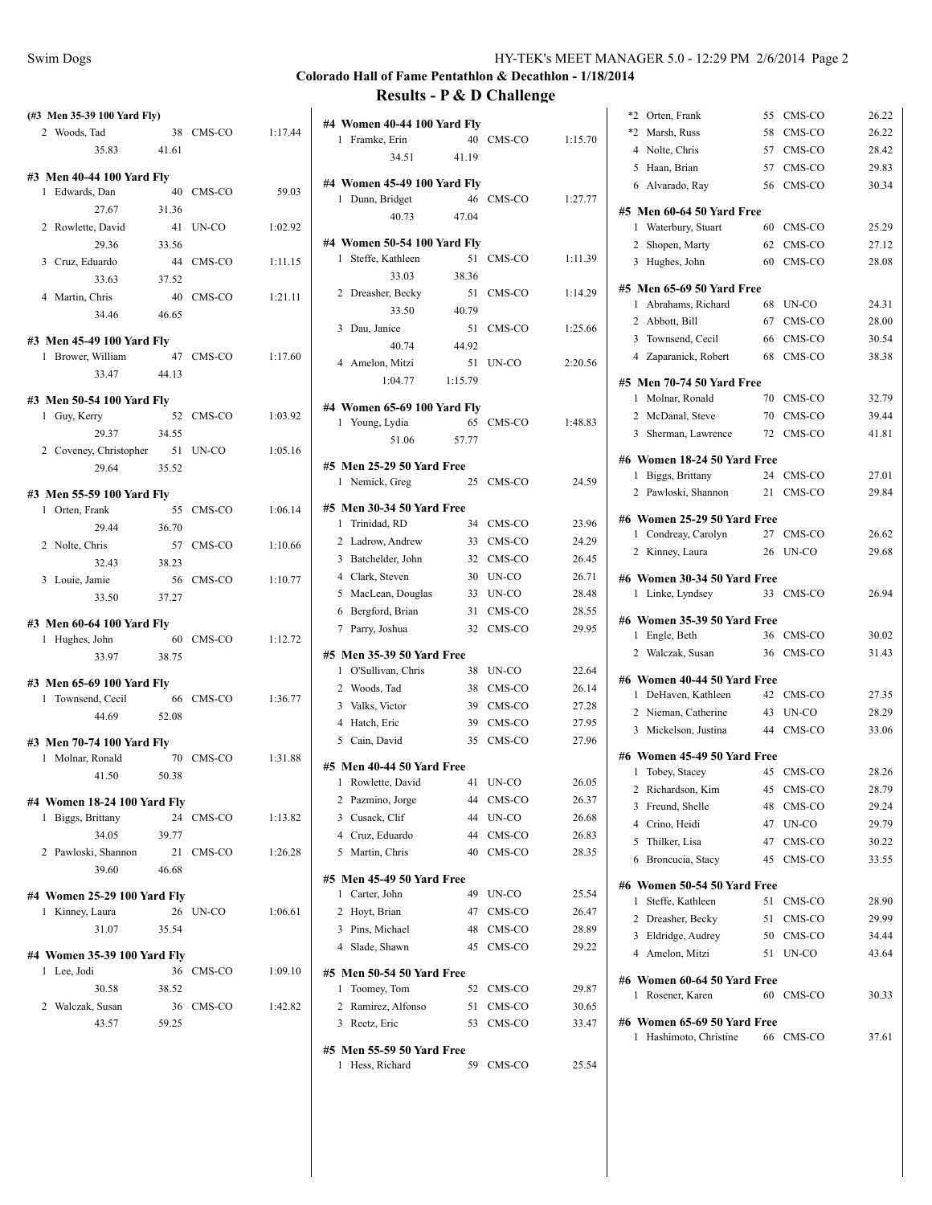| (#3 Men 35-39 100 Yard Fly)                 |       |           |         |
|---------------------------------------------|-------|-----------|---------|
| 2 Woods, Tad                                |       | 38 CMS-CO | 1:17.44 |
| 35.83 41.61                                 |       |           |         |
|                                             |       |           |         |
| #3 Men 40-44 100 Yard Fly<br>1 Edwards, Dan |       | 40 CMS-CO | 59.03   |
| 27.67                                       | 31.36 |           |         |
| 2 Rowlette, David                           |       | 41 UN-CO  | 1:02.92 |
| 29.36                                       | 33.56 |           |         |
|                                             |       | 44 CMS-CO | 1:11.15 |
| 3 Cruz, Eduardo                             |       |           |         |
| 33.63                                       | 37.52 |           | 1:21.11 |
| 4 Martin, Chris                             |       | 40 CMS-CO |         |
| 34.46                                       | 46.65 |           |         |
| #3 Men 45-49 100 Yard Fly                   |       |           |         |
| 1 Brower, William                           |       | 47 CMS-CO | 1:17.60 |
| 33.47                                       | 44.13 |           |         |
|                                             |       |           |         |
| #3 Men 50-54 100 Yard Fly<br>1 Guy, Kerry   |       | 52 CMS-CO | 1:03.92 |
| 29.37 34.55                                 |       |           |         |
|                                             |       |           | 1:05.16 |
| 2 Coveney, Christopher 51<br>29.64          | 35.52 | UN-CO     |         |
|                                             |       |           |         |
| #3 Men 55-59 100 Yard Fly                   |       |           |         |
| 1 Orten, Frank                              |       | 55 CMS-CO | 1:06.14 |
| 29.44 36.70                                 |       |           |         |
| 2 Nolte, Chris                              |       | 57 CMS-CO | 1:10.66 |
| 32.43 38.23                                 |       |           |         |
| 3 Louie, Jamie                              |       | 56 CMS-CO | 1:10.77 |
| 33.50                                       | 37.27 |           |         |
|                                             |       |           |         |
| #3 Men 60-64 100 Yard Fly<br>1 Hughes, John |       | 60 CMS-CO | 1:12.72 |
| 33.97                                       | 38.75 |           |         |
|                                             |       |           |         |
| #3 Men 65-69 100 Yard Fly                   |       |           |         |
| 1 Townsend, Cecil 66 CMS-CO 1:36.77         |       |           |         |
| 44.69 52.08                                 |       |           |         |
| #3 Men 70-74 100 Yard Fly                   |       |           |         |
| 1 Molnar, Ronald                            |       | 70 CMS-CO | 1:31.88 |
| 41.50                                       | 50.38 |           |         |
|                                             |       |           |         |
| #4 Women 18-24 100 Yard Fly                 |       |           |         |
| Biggs, Brittany<br>1                        |       | 24 CMS-CO | 1:13.82 |
| 34.05                                       | 39.77 |           |         |
| 2 Pawloski, Shannon                         | 21    | CMS-CO    | 1:26.28 |
| 39.60                                       | 46.68 |           |         |
| #4 Women 25-29 100 Yard Fly                 |       |           |         |
| 1 Kinney, Laura                             | 26    | UN-CO     | 1:06.61 |
| 31.07                                       | 35.54 |           |         |
|                                             |       |           |         |
| #4 Women 35-39 100 Yard Fly                 |       |           |         |
| 1 Lee, Jodi                                 |       | 36 CMS-CO | 1:09.10 |
| 30.58                                       | 38.52 |           |         |
| 2<br>Walczak, Susan                         |       | 36 CMS-CO | 1:42.82 |
| 43.57                                       | 59.25 |           |         |

| #4 Women 40-44 100 Yard Fly<br>1 Framke, Erin<br>34.51  | 41.19   | 40 CMS-CO | 1:15.70 |
|---------------------------------------------------------|---------|-----------|---------|
|                                                         |         |           |         |
| #4 Women 45-49 100 Yard Fly<br>1 Dunn, Bridget          |         | 46 CMS-CO | 1:27.77 |
| 40.73                                                   | 47.04   |           |         |
| #4 Women 50-54 100 Yard Fly                             |         |           |         |
| 1 Steffe, Kathleen                                      | 51      | CMS-CO    | 1:11.39 |
| 33.03                                                   | 38.36   |           |         |
| 2 Dreasher, Becky                                       | 51      | CMS-CO    | 1:14.29 |
| 33.50                                                   | 40.79   |           |         |
| 3 Dau, Janice                                           |         | 51 CMS-CO | 1:25.66 |
| 40.74                                                   | 44.92   |           |         |
|                                                         | 51      |           | 2:20.56 |
| 4 Amelon, Mitzi                                         |         | UN-CO     |         |
| 1:04.77                                                 | 1:15.79 |           |         |
| #4 Women 65-69 100 Yard Fly                             |         |           |         |
| 1 Young, Lydia                                          |         | 65 CMS-CO | 1:48.83 |
| 51.06                                                   | 57.77   |           |         |
|                                                         |         |           |         |
| #5 Men 25-29 50 Yard Free                               |         |           |         |
| 1 Nemick, Greg                                          |         | 25 CMS-CO | 24.59   |
| #5 Men 30-34 50 Yard Free                               |         |           |         |
| 1 Trinidad, RD                                          |         | 34 CMS-CO | 23.96   |
| 2 Ladrow, Andrew                                        |         | 33 CMS-CO | 24.29   |
| 3 Batchelder, John                                      |         | 32 CMS-CO | 26.45   |
| 4 Clark, Steven                                         |         | 30 UN-CO  | 26.71   |
| 5 MacLean, Douglas                                      |         | 33 UN-CO  | 28.48   |
| 6 Bergford, Brian                                       | 31      | CMS-CO    | 28.55   |
| 7 Parry, Joshua                                         | 32      | CMS-CO    | 29.95   |
|                                                         |         |           |         |
| #5 Men 35-39 50 Yard Free                               |         |           |         |
| 1 O'Sullivan, Chris                                     | 38      | UN-CO     | 22.64   |
| 2 Woods, Tad                                            |         | 38 CMS-CO | 26.14   |
| 3 Valks, Victor                                         | 39      | CMS-CO    | 27.28   |
| 4 Hatch, Eric                                           | 39      | CMS-CO    | 27.95   |
| 5 Cain, David                                           | 35      | CMS-CO    | 27.96   |
|                                                         |         |           |         |
| #5 Men 40-44 50 Yard Free<br>1 Rowlette, David 41 UN-CO |         |           | 26.05   |
| Pazmino, Jorge<br>2                                     | 44      | CMS-CO    | 26.37   |
| 3 Cusack, Clif                                          | 44      | UN-CO     | 26.68   |
| 4 Cruz, Eduardo                                         | 44      | CMS-CO    | 26.83   |
|                                                         |         |           |         |
| 5 Martin, Chris                                         | 40      | CMS-CO    | 28.35   |
| #5 Men 45-49 50 Yard Free                               |         |           |         |
| Carter, John<br>1                                       | 49      | UN-CO     | 25.54   |
| 2 Hoyt, Brian                                           | 47      | CMS-CO    | 26.47   |
| Pins, Michael<br>3                                      | 48      | CMS-CO    | 28.89   |
| 4 Slade, Shawn                                          | 45      | CMS-CO    | 29.22   |
| #5 Men 50-54 50 Yard Free                               |         |           |         |
| Toomey, Tom<br>1                                        | 52      | CMS-CO    | 29.87   |
| Ramirez, Alfonso<br>2                                   | 51      | CMS-CO    | 30.65   |
| Reetz, Eric<br>3                                        | 53      | CMS-CO    | 33.47   |
|                                                         |         |           |         |
| #5 Men 55-59 50 Yard Free<br>1<br>Hess, Richard         | 59      | CMS-CO    | 25.54   |
|                                                         |         |           |         |

| *2<br>Orten, Frank                               | 55 | CMS-CO    | 26.22 |
|--------------------------------------------------|----|-----------|-------|
| *2<br>Marsh, Russ                                | 58 | CMS-CO    | 26.22 |
| 4<br>Nolte, Chris                                | 57 | CMS-CO    | 28.42 |
| Haan, Brian<br>5                                 | 57 | CMS-CO    | 29.83 |
| 6 Alvarado, Ray                                  | 56 | CMS-CO    | 30.34 |
| #5 Men 60-64 50 Yard Free                        |    |           |       |
| Waterbury, Stuart<br>1                           | 60 | CMS-CO    | 25.29 |
| 2<br>Shopen, Marty                               | 62 | CMS-CO    | 27.12 |
| 3 Hughes, John                                   | 60 | CMS-CO    | 28.08 |
| #5 Men 65-69 50 Yard Free                        |    |           |       |
| Abrahams, Richard<br>1                           | 68 | UN-CO     | 24.31 |
| 2 Abbott, Bill                                   | 67 | CMS-CO    | 28.00 |
| 3 Townsend, Cecil                                | 66 | CMS-CO    | 30.54 |
| 4 Zaparanick, Robert                             | 68 | CMS-CO    | 38.38 |
|                                                  |    |           |       |
| #5 Men 70-74 50 Yard Free<br>Molnar, Ronald<br>1 | 70 | CMS-CO    | 32.79 |
| 2                                                | 70 | CMS-CO    | 39.44 |
| McDanal, Steve                                   |    |           |       |
| 3 Sherman, Lawrence                              | 72 | CMS-CO    | 41.81 |
| #6 Women 18-24 50 Yard Free                      |    |           |       |
| Biggs, Brittany<br>1                             | 24 | CMS-CO    | 27.01 |
| Pawloski, Shannon<br>2                           | 21 | CMS-CO    | 29.84 |
| #6 Women 25-29 50 Yard Free                      |    |           |       |
| Condreay, Carolyn<br>1                           | 27 | CMS-CO    | 26.62 |
| Kinney, Laura<br>2                               | 26 | UN-CO     | 29.68 |
| #6 Women 30-34 50 Yard Free                      |    |           |       |
|                                                  |    |           |       |
| 1 Linke, Lyndsey                                 | 33 | CMS-CO    | 26.94 |
| #6 Women 35-39 50 Yard Free                      |    |           |       |
| Engle, Beth<br>1                                 | 36 | CMS-CO    | 30.02 |
| 2 Walczak, Susan                                 | 36 | CMS-CO    | 31.43 |
| #6 Women 40-44 50 Yard Free                      |    |           |       |
| 1 DeHaven, Kathleen                              |    | 42 CMS-CO | 27.35 |
|                                                  | 43 | UN-CO     | 28.29 |
| 2 Nieman, Catherine<br>Mickelson, Justina<br>3   | 44 | CMS-CO    | 33.06 |
|                                                  |    |           |       |
| #6 Women 45-49 50 Yard Free<br>1                 |    | 45 CMS-CO | 28.26 |
| Tobey, Stacey                                    |    |           |       |
| 2 Richardson, Kim                                |    | 45 CMS-CO | 28.79 |
| 3<br>Freund, Shelle                              | 48 | CMS-CO    | 29.24 |
| 4 Crino, Heidi                                   | 47 | UN-CO     | 29.79 |
| Thilker, Lisa<br>5                               | 47 | CMS-CO    | 30.22 |
| 6 Broncucia, Stacy                               | 45 | CMS-CO    | 33.55 |
| #6 Women 50-54 50 Yard Free                      |    |           |       |
| Steffe, Kathleen<br>1                            | 51 | CMS-CO    | 28.90 |
| 2 Dreasher, Becky                                |    | 51 CMS-CO | 29.99 |
| Eldridge, Audrey<br>3                            |    | 50 CMS-CO | 34.44 |
| 4 Amelon, Mitzi                                  | 51 | UN-CO     | 43.64 |
| #6 Women 60-64 50 Yard Free                      |    |           |       |
| Rosener, Karen<br>1                              | 60 | CMS-CO    | 30.33 |
| #6 Women 65-69 50 Yard Free                      |    |           |       |
| Hashimoto, Christine<br>1                        |    | 66 CMS-CO | 37.61 |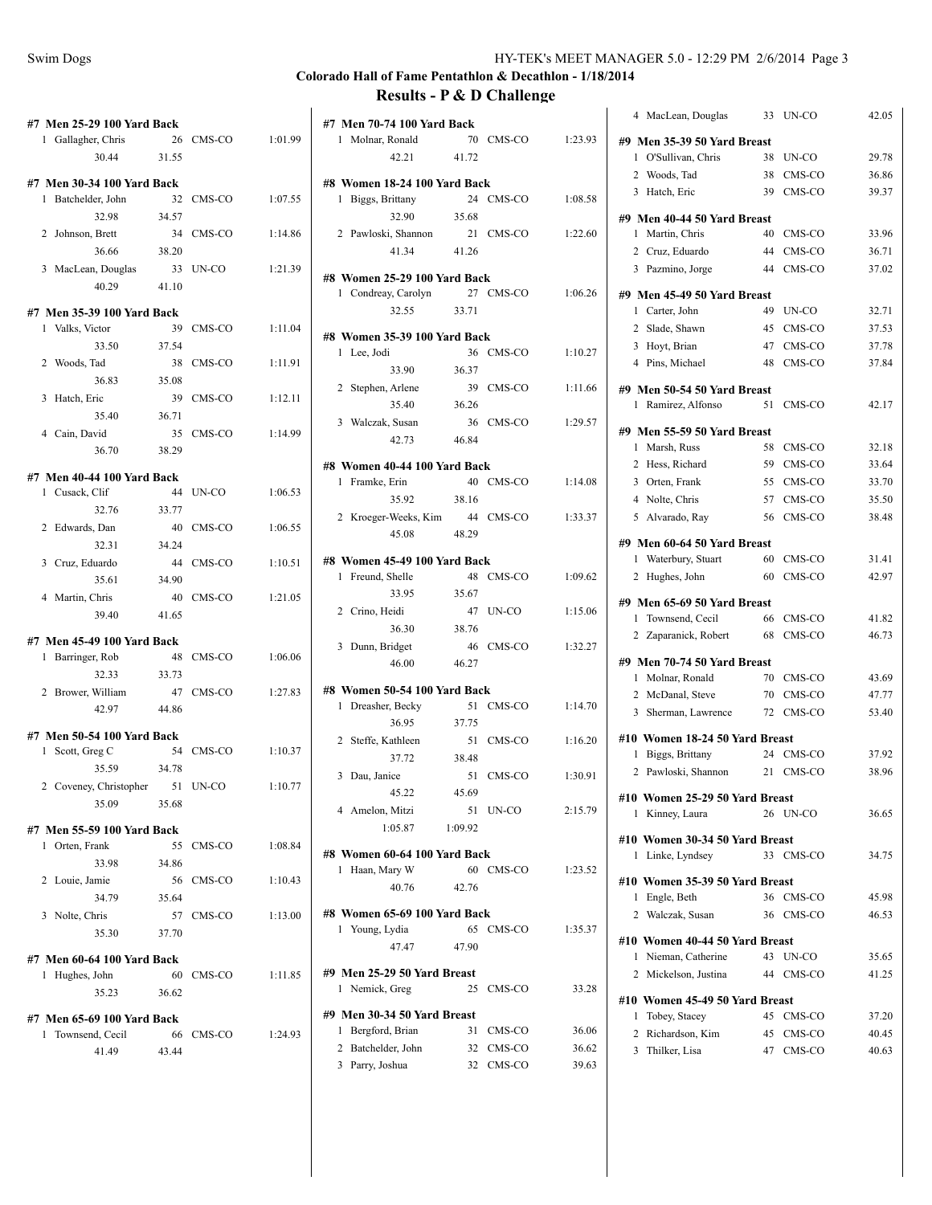|              | #7 Men 25-29 100 Yard Back<br>1 Gallagher, Chris<br>30.44 | 26<br>31.55 | CMS-CO    | 1:01.99 |
|--------------|-----------------------------------------------------------|-------------|-----------|---------|
|              |                                                           |             |           |         |
| 1            | #7 Men 30-34 100 Yard Back<br>Batchelder, John            | 32          | CMS-CO    | 1:07.55 |
|              | 32.98                                                     | 34.57       |           |         |
| $\mathbf{2}$ | Johnson, Brett                                            | 34          | CMS-CO    | 1:14.86 |
|              | 36.66                                                     | 38.20       |           |         |
|              | 3 MacLean, Douglas                                        | 33          | UN-CO     | 1:21.39 |
|              | 40.29                                                     | 41.10       |           |         |
|              | #7 Men 35-39 100 Yard Back                                |             |           |         |
|              | 1 Valks, Victor                                           | 39          | CMS-CO    | 1:11.04 |
|              | 33.50                                                     | 37.54       |           |         |
|              | 2 Woods, Tad                                              | 38          | CMS-CO    | 1:11.91 |
|              | 36.83                                                     | 35.08       |           |         |
| 3            | Hatch, Eric                                               | 39          | CMS-CO    | 1:12.11 |
|              | 35.40                                                     | 36.71       |           |         |
|              | 4 Cain, David                                             | 35          | CMS-CO    | 1:14.99 |
|              | 36.70                                                     | 38.29       |           |         |
|              |                                                           |             |           |         |
|              | #7 Men 40-44 100 Yard Back<br>1 Cusack, Clif              | 44          | UN-CO     | 1:06.53 |
|              | 32.76                                                     | 33.77       |           |         |
|              | 2 Edwards, Dan                                            | 40          | CMS-CO    | 1:06.55 |
|              | 32.31                                                     | 34.24       |           |         |
|              | 3 Cruz, Eduardo                                           | 44          | CMS-CO    | 1:10.51 |
|              | 35.61                                                     | 34.90       |           |         |
|              | 4 Martin, Chris                                           | 40          | CMS-CO    | 1:21.05 |
|              | 39.40                                                     | 41.65       |           |         |
|              |                                                           |             |           |         |
|              | #7 Men 45-49 100 Yard Back                                |             |           |         |
| 1            | Barringer, Rob                                            | 48          | CMS-CO    | 1:06.06 |
|              | 32.33                                                     | 33.73       |           |         |
|              | 2 Brower, William                                         | 47          | CMS-CO    | 1:27.83 |
|              | 42.97                                                     | 44.86       |           |         |
|              | #7 Men 50-54 100 Yard Back                                |             |           |         |
| 1            | Scott, Greg C                                             |             | 54 CMS-CO | 1:10.37 |
|              | 35.59                                                     | 34.78       |           |         |
| 2            | Coveney, Christopher                                      |             | 51 UN-CO  | 1:10.77 |
|              | 35.09                                                     | 35.68       |           |         |
|              |                                                           |             |           |         |
|              | #7 Men 55-59 100 Yard Back<br>1 Orten, Frank              | 55          | CMS-CO    | 1:08.84 |
|              | 33.98                                                     | 34.86       |           |         |
|              | 2 Louie, Jamie                                            |             | 56 CMS-CO | 1:10.43 |
|              | 34.79                                                     | 35.64       |           |         |
|              | 3 Nolte, Chris                                            |             | 57 CMS-CO | 1:13.00 |
|              | 35.30                                                     | 37.70       |           |         |
|              |                                                           |             |           |         |
|              | #7 Men 60-64 100 Yard Back                                |             |           |         |
|              | 1 Hughes, John                                            |             | 60 CMS-CO | 1:11.85 |
|              | 35.23                                                     | 36.62       |           |         |
|              | #7 Men 65-69 100 Yard Back                                |             |           |         |
| 1            | Townsend, Cecil                                           |             | 66 CMS-CO | 1:24.93 |
|              | 41.49                                                     | 43.44       |           |         |
|              |                                                           |             |           |         |

| #7 Men 70-74 100 Yard Back                    |         |           |         |
|-----------------------------------------------|---------|-----------|---------|
| 1 Molnar, Ronald                              |         | 70 CMS-CO | 1:23.93 |
| 42.21                                         | 41.72   |           |         |
| #8 Women 18-24 100 Yard Back                  |         |           |         |
| 1 Biggs, Brittany                             |         | 24 CMS-CO | 1:08.58 |
| 32.90                                         | 35.68   |           |         |
| 2 Pawloski, Shannon                           |         | 21 CMS-CO | 1:22.60 |
| 41.34                                         | 41.26   |           |         |
|                                               |         |           |         |
| #8 Women 25-29 100 Yard Back                  |         |           |         |
| 1 Condreay, Carolyn 27 CMS-CO                 |         |           | 1:06.26 |
| 32.55                                         | 33.71   |           |         |
| #8 Women 35-39 100 Yard Back                  |         |           |         |
| 1 Lee, Jodi                                   |         | 36 CMS-CO | 1:10.27 |
| 33.90                                         | 36.37   |           |         |
|                                               |         |           |         |
| 2 Stephen, Arlene                             |         | 39 CMS-CO | 1:11.66 |
| 35.40                                         | 36.26   |           |         |
| 3 Walczak, Susan                              |         | 36 CMS-CO | 1:29.57 |
| 42.73                                         | 46.84   |           |         |
| #8 Women 40-44 100 Yard Back                  |         |           |         |
| 1 Framke, Erin                                |         | 40 CMS-CO | 1:14.08 |
| 35.92                                         | 38.16   |           |         |
| 2 Kroeger-Weeks, Kim                          |         | 44 CMS-CO | 1:33.37 |
| 45.08                                         | 48.29   |           |         |
|                                               |         |           |         |
| #8 Women 45-49 100 Yard Back                  |         |           |         |
| 1 Freund, Shelle                              |         | 48 CMS-CO | 1:09.62 |
| 33.95                                         | 35.67   |           |         |
| 2 Crino, Heidi                                | 47      | UN-CO     | 1:15.06 |
| 36.30                                         | 38.76   |           |         |
| 3 Dunn, Bridget                               | 46      | CMS-CO    | 1:32.27 |
| 46.00                                         | 46.27   |           |         |
|                                               |         |           |         |
| #8 Women 50-54 100 Yard Back                  |         |           |         |
| 1 Dreasher, Becky                             |         | 51 CMS-CO | 1:14.70 |
| 36.95                                         | 37.75   |           |         |
| 2 Steffe, Kathleen                            |         | 51 CMS-CO | 1:16.20 |
| 37.72                                         | 38.48   |           |         |
| 3 Dau, Janice                                 |         | 51 CMS-CO | 1:30.91 |
| 45.22                                         | 45.69   |           |         |
| 4 Amelon, Mitzi                               |         | 51 UN-CO  | 2:15.79 |
| 1:05.87                                       | 1:09.92 |           |         |
| #8 Women 60-64 100 Yard Back                  |         |           |         |
| 1 Haan, Mary W                                |         | 60 CMS-CO | 1:23.52 |
| 40.76                                         | 42.76   |           |         |
|                                               |         |           |         |
| #8 Women 65-69 100 Yard Back                  |         |           |         |
| 1 Young, Lydia                                | 65      | CMS-CO    | 1:35.37 |
| 47.47                                         | 47.90   |           |         |
|                                               |         |           |         |
| #9 Men 25-29 50 Yard Breast<br>1 Nemick, Greg | 25      | CMS-CO    | 33.28   |
|                                               |         |           |         |
| #9 Men 30-34 50 Yard Breast                   |         |           |         |
| 1 Bergford, Brian                             |         | 31 CMS-CO | 36.06   |
| 2 Batchelder, John                            |         | 32 CMS-CO | 36.62   |
| 3 Parry, Joshua                               |         | 32 CMS-CO | 39.63   |
|                                               |         |           |         |

| MacLean, Douglas<br>4                                 | 33 | UN-CO                  | 42.05          |
|-------------------------------------------------------|----|------------------------|----------------|
| #9 Men 35-39 50 Yard Breast                           |    |                        |                |
| 1 O'Sullivan, Chris                                   | 38 | UN-CO                  | 29.78          |
| 2 Woods, Tad                                          | 38 | CMS-CO                 | 36.86          |
| 3 Hatch, Eric                                         | 39 | CMS-CO                 | 39.37          |
| #9 Men 40-44 50 Yard Breast                           |    |                        |                |
| 1 Martin, Chris                                       | 40 | CMS-CO                 | 33.96          |
| 2 Cruz, Eduardo                                       | 44 | CMS-CO                 | 36.71          |
| 3 Pazmino, Jorge                                      | 44 | CMS-CO                 | 37.02          |
|                                                       |    |                        |                |
| #9 Men 45-49 50 Yard Breast<br>1 Carter, John         | 49 | UN-CO                  | 32.71          |
| 2 Slade, Shawn                                        | 45 | CMS-CO                 | 37.53          |
| 3 Hoyt, Brian                                         |    | 47 CMS-CO              | 37.78          |
| 4 Pins, Michael                                       | 48 | CMS-CO                 | 37.84          |
|                                                       |    |                        |                |
| #9 Men 50-54 50 Yard Breast                           |    |                        |                |
| 1 Ramirez, Alfonso                                    | 51 | CMS-CO                 | 42.17          |
| #9 Men 55-59 50 Yard Breast                           |    |                        |                |
| 1 Marsh, Russ                                         | 58 | CMS-CO                 | 32.18          |
| 2 Hess, Richard                                       | 59 | CMS-CO                 | 33.64          |
| 3 Orten, Frank                                        | 55 | CMS-CO                 | 33.70          |
| 4 Nolte, Chris                                        | 57 | CMS-CO                 | 35.50          |
| 5 Alvarado, Ray                                       | 56 | CMS-CO                 | 38.48          |
| #9 Men 60-64 50 Yard Breast                           |    |                        |                |
| 1 Waterbury, Stuart                                   | 60 | CMS-CO                 | 31.41          |
|                                                       |    |                        | 42.97          |
| $\overline{2}$<br>Hughes, John                        | 60 | CMS-CO                 |                |
| #9 Men 65-69 50 Yard Breast                           |    |                        |                |
| 1 Townsend, Cecil                                     | 66 | CMS-CO                 | 41.82          |
| 2 Zaparanick, Robert                                  | 68 | CMS-CO                 | 46.73          |
|                                                       |    |                        |                |
| #9 Men 70-74 50 Yard Breast                           | 70 | CMS-CO                 | 43.69          |
| 1 Molnar, Ronald<br>2 McDanal, Steve                  | 70 | CMS-CO                 | 47.77          |
| Sherman, Lawrence<br>3                                | 72 | CMS-CO                 | 53.40          |
|                                                       |    |                        |                |
| #10 Women 18-24 50 Yard Breast                        |    |                        |                |
| 1 Biggs, Brittany                                     | 21 | 24 CMS-CO<br>CMS-CO    | 37.92<br>38.96 |
| 2 Pawloski, Shannon                                   |    |                        |                |
| #10<br>Women 25-29 50 Yard Breast                     |    |                        |                |
| Kinney, Laura<br>1                                    | 26 | UN-CO                  | 36.65          |
| #10 Women 30-34 50 Yard Breast                        |    |                        |                |
| Linke, Lyndsey<br>1                                   |    | 33 CMS-CO              | 34.75          |
| #10 Women 35-39 50 Yard Breast                        |    |                        |                |
| 1 Engle, Beth                                         |    | 36 CMS-CO              | 45.98          |
| 2 Walczak, Susan                                      |    | 36 CMS-CO              | 46.53          |
|                                                       |    |                        |                |
| #10 Women 40-44 50 Yard Breast<br>1 Nieman, Catherine | 43 | UN-CO                  | 35.65          |
| 2 Mickelson, Justina                                  |    | 44 CMS-CO              | 41.25          |
|                                                       |    |                        |                |
| #10 Women 45-49 50 Yard Breast                        |    |                        |                |
| 1 Tobey, Stacey                                       |    | 45 CMS-CO              | 37.20          |
| 2 Richardson, Kim<br>3 Thilker, Lisa                  |    | 45 CMS-CO<br>47 CMS-CO | 40.45<br>40.63 |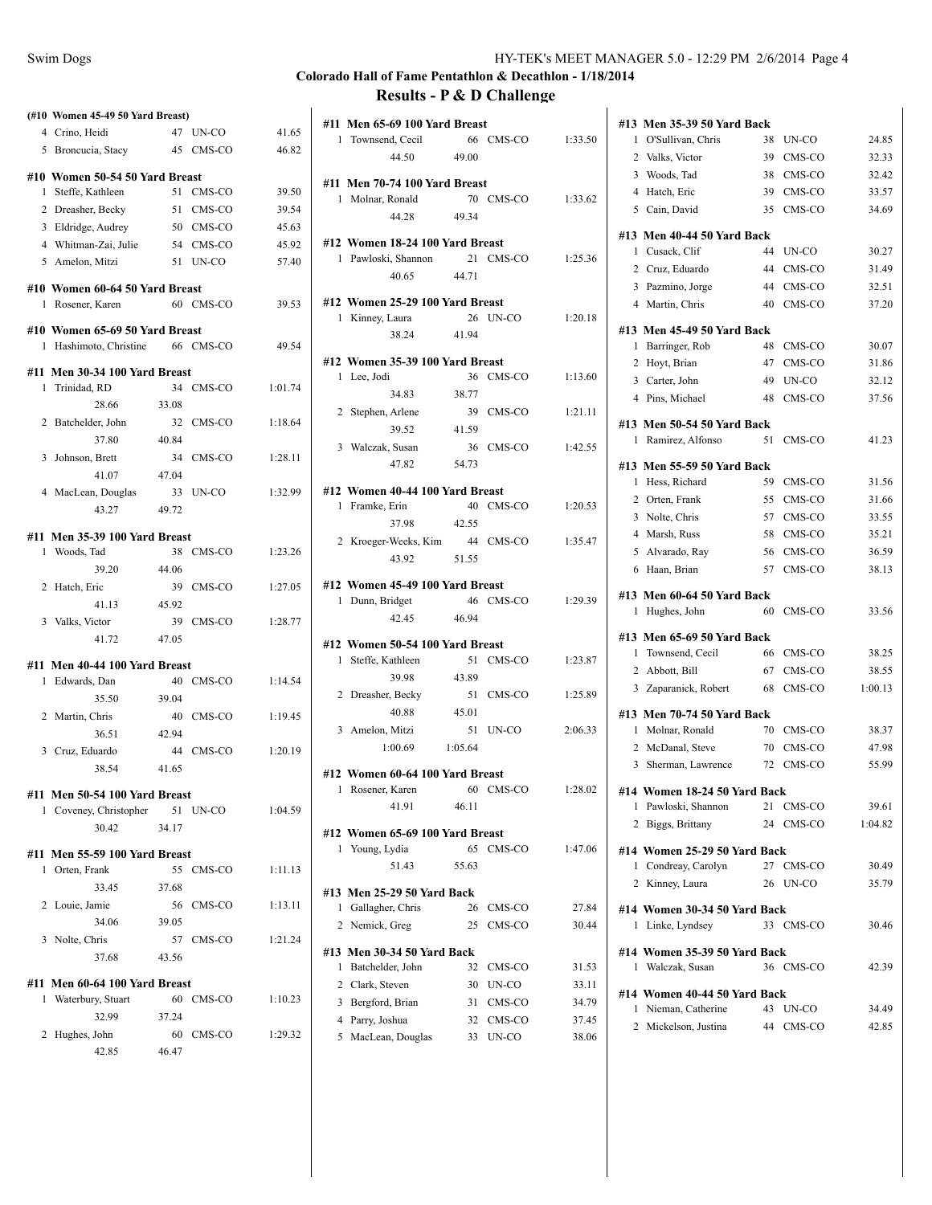|                | (#10 Women 45-49 50 Yard Breast)              |       |           |         |
|----------------|-----------------------------------------------|-------|-----------|---------|
|                | 4 Crino, Heidi                                | 47    | UN-CO     | 41.65   |
|                | 5 Broncucia, Stacy                            | 45    | CMS-CO    | 46.82   |
|                | #10 Women 50-54 50 Yard Breast                |       |           |         |
| 1              | Steffe, Kathleen                              |       | 51 CMS-CO | 39.50   |
|                | 2 Dreasher, Becky                             |       | 51 CMS-CO | 39.54   |
|                | 3 Eldridge, Audrey                            |       | 50 CMS-CO | 45.63   |
|                | 4 Whitman-Zai, Julie                          |       | 54 CMS-CO | 45.92   |
|                | 5 Amelon, Mitzi                               |       | 51 UN-CO  | 57.40   |
|                |                                               |       |           |         |
|                | #10 Women 60-64 50 Yard Breast                |       |           |         |
| 1              | Rosener, Karen                                |       | 60 CMS-CO | 39.53   |
|                | #10 Women 65-69 50 Yard Breast                |       |           |         |
|                | 1 Hashimoto, Christine 66 CMS-CO              |       |           | 49.54   |
|                |                                               |       |           |         |
|                | #11 Men 30-34 100 Yard Breast                 |       | 34 CMS-CO | 1:01.74 |
|                | 1 Trinidad, RD                                |       |           |         |
|                | 28.66                                         | 33.08 |           |         |
| $\overline{2}$ | Batchelder, John                              |       | 32 CMS-CO | 1:18.64 |
|                | 37.80                                         | 40.84 |           |         |
| 3              | Johnson, Brett                                |       | 34 CMS-CO | 1:28.11 |
|                | 41.07                                         | 47.04 |           |         |
|                | 4 MacLean, Douglas                            |       | 33 UN-CO  | 1:32.99 |
|                | 43.27                                         | 49.72 |           |         |
|                | #11 Men 35-39 100 Yard Breast                 |       |           |         |
| 1              | Woods, Tad                                    | 38    | CMS-CO    | 1:23.26 |
|                | 39.20                                         | 44.06 |           |         |
| $\overline{2}$ | Hatch, Eric                                   | 39    | CMS-CO    | 1:27.05 |
|                | 41.13                                         | 45.92 |           |         |
|                | 3 Valks, Victor                               |       | 39 CMS-CO | 1:28.77 |
|                | 41.72                                         | 47.05 |           |         |
|                |                                               |       |           |         |
| $\mathbf{1}$   | #11 Men 40-44 100 Yard Breast<br>Edwards, Dan |       | 40 CMS-CO | 1:14.54 |
|                | 35.50                                         | 39.04 |           |         |
|                | 2 Martin, Chris                               | 40    | CMS-CO    | 1:19.45 |
|                | 36.51                                         | 42.94 |           |         |
|                |                                               |       | 44 CMS-CO | 1:20.19 |
|                | 3 Cruz, Eduardo                               |       |           |         |
|                | 38.54                                         | 41.65 |           |         |
|                | #11 Men 50-54 100 Yard Breast                 |       |           |         |
|                | 1 Coveney, Christopher 51                     |       | UN-CO     | 1:04.59 |
|                | 30.42                                         | 34.17 |           |         |
|                | #11 Men 55-59 100 Yard Breast                 |       |           |         |
|                | 1 Orten, Frank                                |       | 55 CMS-CO | 1:11.13 |
|                | 33.45                                         | 37.68 |           |         |
|                | 2 Louie, Jamie                                |       | 56 CMS-CO | 1:13.11 |
|                | 34.06                                         | 39.05 |           |         |
|                | 3 Nolte, Chris                                |       | 57 CMS-CO | 1:21.24 |
|                | 37.68                                         | 43.56 |           |         |
|                |                                               |       |           |         |
|                | #11 Men 60-64 100 Yard Breast                 |       |           |         |
|                | 1 Waterbury, Stuart                           |       | 60 CMS-CO | 1:10.23 |
|                | 32.99                                         | 37.24 |           |         |
| 2              | Hughes, John                                  |       | 60 CMS-CO | 1:29.32 |
|                | 42.85                                         | 46.47 |           |         |

|   | #11 Men 65-69 100 Yard Breast   |       |           |                   |
|---|---------------------------------|-------|-----------|-------------------|
|   | 1 Townsend, Cecil               |       |           | 66 CMS-CO 1:33.50 |
|   | 44.50                           | 49.00 |           |                   |
|   | #11 Men 70-74 100 Yard Breast   |       |           |                   |
|   | 1 Molnar, Ronald                |       |           | 70 CMS-CO 1:33.62 |
|   | 44.28 49.34                     |       |           |                   |
|   | #12 Women 18-24 100 Yard Breast |       |           |                   |
|   | 1 Pawloski, Shannon             |       | 21 CMS-CO | 1:25.36           |
|   | 40.65                           | 44.71 |           |                   |
|   | #12 Women 25-29 100 Yard Breast |       |           |                   |
|   | 1 Kinney, Laura                 |       |           | 26 UN-CO 1:20.18  |
|   | 38.24 41.94                     |       |           |                   |
|   | #12 Women 35-39 100 Yard Breast |       |           |                   |
|   | 1 Lee, Jodi                     |       | 36 CMS-CO | 1:13.60           |
|   | 34.83                           | 38.77 |           |                   |
|   | 2 Stephen, Arlene               |       | 39 CMS-CO | 1:21.11           |
|   | 39.52                           | 41.59 |           |                   |
|   | 3 Walczak, Susan                |       | 36 CMS-CO | 1:42.55           |
|   | 47.82                           | 54.73 |           |                   |
|   | #12 Women 40-44 100 Yard Breast |       |           |                   |
|   | 1 Framke, Erin                  |       | 40 CMS-CO | 1:20.53           |
|   | 37.98                           | 42.55 |           |                   |
|   | 2 Kroeger-Weeks, Kim 44 CMS-CO  |       |           | 1:35.47           |
|   | 43.92                           | 51.55 |           |                   |
|   | #12 Women 45-49 100 Yard Breast |       |           |                   |
|   | 1 Dunn, Bridget                 |       |           | 46 CMS-CO 1:29.39 |
|   | 42.45                           | 46.94 |           |                   |
|   | #12 Women 50-54 100 Yard Breast |       |           |                   |
|   | 1 Steffe, Kathleen              |       | 51 CMS-CO | 1:23.87           |
|   | 39.98                           | 43.89 |           |                   |
|   | 2 Dreasher, Becky               |       | 51 CMS-CO | 1:25.89           |
|   | 40.88                           | 45.01 |           |                   |
|   | 3 Amelon, Mitzi                 |       | 51 UN-CO  | 2:06.33           |
|   | 1:00.69 1:05.64                 |       |           |                   |
|   | #12 Women 60-64 100 Yard Breast |       |           |                   |
| 1 | Rosener, Karen                  |       | 60 CMS-CO | 1:28.02           |
|   | 41.91                           | 46.11 |           |                   |
|   | #12 Women 65-69 100 Yard Breast |       |           |                   |
| 1 | Young, Lydia                    | 65    | CMS-CO    | 1:47.06           |
|   | 51.43                           | 55.63 |           |                   |
|   | #13 Men 25-29 50 Yard Back      |       |           |                   |
|   | 1 Gallagher, Chris              | 26    | CMS-CO    | 27.84             |
|   | 2 Nemick, Greg                  |       | 25 CMS-CO | 30.44             |
|   | #13 Men 30-34 50 Yard Back      |       |           |                   |
|   | 1 Batchelder, John              |       | 32 CMS-CO | 31.53             |
|   | 2 Clark, Steven                 |       | 30 UN-CO  | 33.11             |
|   | 3 Bergford, Brian               |       | 31 CMS-CO | 34.79             |
|   | 4 Parry, Joshua                 |       | 32 CMS-CO | 37.45             |
|   | 5 MacLean, Douglas              |       | 33 UN-CO  | 38.06             |

|   | #13 Men 35-39 50 Yard Back        |          |           |                |
|---|-----------------------------------|----------|-----------|----------------|
|   | 1 O'Sullivan, Chris               | 38       | UN-CO     | 24.85          |
|   | 2 Valks, Victor                   | 39       | CMS-CO    | 32.33          |
|   | 3 Woods, Tad                      | 38       | CMS-CO    | 32.42          |
|   | 4 Hatch, Eric                     | 39       | CMS-CO    | 33.57          |
|   | 5 Cain, David                     | 35       | CMS-CO    | 34.69          |
|   | #13 Men 40-44 50 Yard Back        |          |           |                |
|   | 1 Cusack, Clif                    | 44       | UN-CO     | 30.27          |
|   | 2 Cruz, Eduardo                   | 44       | CMS-CO    | 31.49          |
|   | 3 Pazmino, Jorge                  | 44       | CMS-CO    | 32.51          |
|   | 4 Martin, Chris                   | 40       | CMS-CO    | 37.20          |
|   |                                   |          |           |                |
|   | #13 Men 45-49 50 Yard Back        | 48       | CMS-CO    | 30.07          |
|   | 1 Barringer, Rob                  | 47       | CMS-CO    | 31.86          |
|   | 2 Hoyt, Brian                     |          | UN-CO     |                |
|   | 3 Carter, John<br>4 Pins, Michael | 49<br>48 | CMS-CO    | 32.12<br>37.56 |
|   |                                   |          |           |                |
|   | #13 Men 50-54 50 Yard Back        |          |           |                |
| 1 | Ramirez, Alfonso                  | 51       | CMS-CO    | 41.23          |
|   | #13 Men 55-59 50 Yard Back        |          |           |                |
|   | 1 Hess, Richard                   | 59       | CMS-CO    | 31.56          |
|   | 2 Orten, Frank                    | 55       | CMS-CO    | 31.66          |
|   | 3 Nolte, Chris                    | 57       | CMS-CO    | 33.55          |
|   | 4 Marsh, Russ                     | 58       | CMS-CO    | 35.21          |
|   | 5 Alvarado, Ray                   | 56       | CMS-CO    | 36.59          |
|   | 6 Haan, Brian                     | 57       | CMS-CO    | 38.13          |
|   | #13 Men 60-64 50 Yard Back        |          |           |                |
| 1 | Hughes, John                      | 60       | CMS-CO    | 33.56          |
|   | #13 Men 65-69 50 Yard Back        |          |           |                |
|   | 1 Townsend, Cecil                 | 66       | CMS-CO    | 38.25          |
|   | 2 Abbott, Bill                    | 67       | CMS-CO    | 38.55          |
|   | 3 Zaparanick, Robert 68           |          | CMS-CO    | 1:00.13        |
|   |                                   |          |           |                |
|   | #13 Men 70-74 50 Yard Back        |          |           |                |
|   | 1 Molnar, Ronald                  | 70       | CMS-CO    | 38.37          |
|   | 2 McDanal, Steve                  |          | 70 CMS-CO | 47.98          |
|   | 3 Sherman, Lawrence               | 72       | CMS-CO    | 55.99          |
|   | #14 Women 18-24 50 Yard Back      |          |           |                |
|   | 1 Pawloski, Shannon               |          | 21 CMS-CO | 39.61          |
|   | 2 Biggs, Brittany                 |          | 24 CMS-CO | 1:04.82        |
|   | #14 Women 25-29 50 Yard Back      |          |           |                |
|   | 1 Condreay, Carolyn               |          | 27 CMS-CO | 30.49          |
|   | 2 Kinney, Laura                   |          | 26 UN-CO  | 35.79          |
|   | #14 Women 30-34 50 Yard Back      |          |           |                |
|   | 1 Linke, Lyndsey                  |          | 33 CMS-CO | 30.46          |
|   | #14 Women 35-39 50 Yard Back      |          |           |                |
|   | 1 Walczak, Susan                  |          | 36 CMS-CO | 42.39          |
|   |                                   |          |           |                |
|   | #14 Women 40-44 50 Yard Back      |          |           |                |
|   | 1 Nieman, Catherine               |          | 43 UN-CO  | 34.49          |
|   | 2 Mickelson, Justina              |          | 44 CMS-CO | 42.85          |
|   |                                   |          |           |                |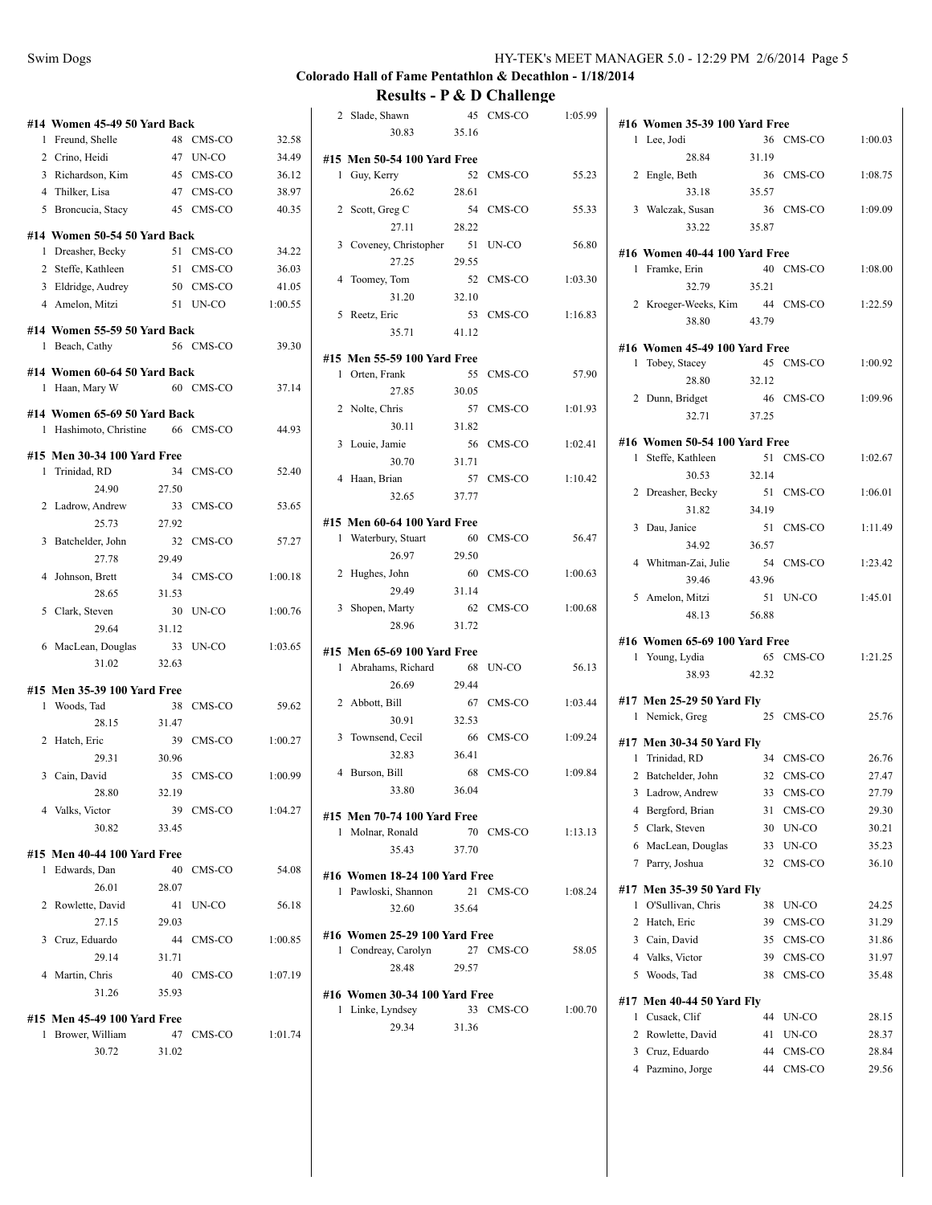# **Colorado Hall of Fame Pentathlon & Decathlon - 1/18/2014**

| #14 Women 45-49 50 Yard Back                     |       |                     |         |
|--------------------------------------------------|-------|---------------------|---------|
| 1 Freund, Shelle                                 | 48    | CMS-CO              | 32.58   |
| 2 Crino, Heidi                                   |       | 47 UN-CO            | 34.49   |
| 3 Richardson, Kim                                |       | 45 CMS-CO           | 36.12   |
| 4 Thilker, Lisa                                  |       | 47 CMS-CO           | 38.97   |
| 5 Broncucia, Stacy                               |       | 45 CMS-CO           | 40.35   |
| #14 Women 50-54 50 Yard Back                     |       |                     |         |
| 1 Dreasher, Becky                                |       | 51 CMS-CO           | 34.22   |
| 2 Steffe, Kathleen                               |       | 51 CMS-CO           | 36.03   |
| 3 Eldridge, Audrey                               |       | 50 CMS-CO           | 41.05   |
| 4 Amelon, Mitzi                                  |       | 51 UN-CO            | 1:00.55 |
| #14 Women 55-59 50 Yard Back                     |       |                     |         |
| 1 Beach, Cathy                                   |       | 56 CMS-CO           | 39.30   |
|                                                  |       |                     |         |
| #14 Women 60-64 50 Yard Back<br>1 Haan, Mary W   |       | 60 CMS-CO           | 37.14   |
|                                                  |       |                     |         |
| #14 Women 65-69 50 Yard Back                     |       |                     | 44.93   |
| 1 Hashimoto, Christine                           |       | 66 CMS-CO           |         |
| #15 Men 30-34 100 Yard Free                      |       |                     |         |
| 1 Trinidad, RD                                   | 34    | CMS-CO              | 52.40   |
| 24.90                                            | 27.50 |                     |         |
| 2 Ladrow, Andrew                                 | 33    | CMS-CO              | 53.65   |
| 25.73                                            | 27.92 |                     |         |
| 3 Batchelder, John                               | 32    | CMS-CO              | 57.27   |
| 27.78                                            | 29.49 |                     |         |
| 4 Johnson, Brett                                 | 34    | $\rm CMS\text{-}CO$ | 1:00.18 |
| 28.65                                            | 31.53 |                     |         |
| 5 Clark, Steven                                  | 30    | UN-CO               | 1:00.76 |
| 29.64                                            | 31.12 |                     |         |
| 6 MacLean, Douglas                               | 33    | UN-CO               | 1:03.65 |
| 31.02                                            | 32.63 |                     |         |
| #15 Men 35-39 100 Yard Free                      |       |                     |         |
| 1 Woods, Tad                                     | 38    | CMS-CO              | 59.62   |
| 28.15                                            | 31.47 |                     |         |
| 2 Hatch, Eric                                    | 39    | CMS-CO              | 1:00.27 |
| 29.31                                            | 30.96 |                     |         |
| 3 Cain, David                                    |       | 35 CMS-CO           | 1:00.99 |
| 28.80                                            | 32.19 |                     |         |
| 4 Valks, Victor                                  |       | 39 CMS-CO           | 1:04.27 |
| 30.82                                            | 33.45 |                     |         |
| #15 Men 40-44 100 Yard Free                      |       |                     |         |
| 1 Edwards, Dan                                   | 40    | CMS-CO              | 54.08   |
| 26.01                                            | 28.07 |                     |         |
| 2 Rowlette, David                                |       | 41 UN-CO            | 56.18   |
| 27.15                                            | 29.03 |                     |         |
| 3 Cruz, Eduardo                                  |       | 44 CMS-CO           | 1:00.85 |
| 29.14                                            | 31.71 |                     |         |
| 4 Martin, Chris                                  |       | 40 CMS-CO           | 1:07.19 |
| 31.26                                            | 35.93 |                     |         |
|                                                  |       |                     |         |
| #15 Men 45-49 100 Yard Free<br>1 Brower, William |       | 47 CMS-CO           | 1:01.74 |
| 30.72                                            | 31.02 |                     |         |
|                                                  |       |                     |         |
|                                                  |       |                     |         |

| 2            | Slade, Shawn                                     | 45          | CMS-CO    | 1:05.99           |
|--------------|--------------------------------------------------|-------------|-----------|-------------------|
|              | 30.83                                            | 35.16       |           |                   |
|              | #15 Men 50-54 100 Yard Free                      |             |           |                   |
|              | $\mathbf{1}$<br>Guy, Kerry                       | 52          | CMS-CO    | 55.23             |
|              | 26.62                                            | 28.61       | CMS-CO    |                   |
| 2            | Scott, Greg C<br>27.11                           | 54<br>28.22 |           | 55.33             |
| 3            | Coveney, Christopher                             | 51          | UN-CO     | 56.80             |
|              | 27.25                                            | 29.55       |           |                   |
| 4            | Toomey, Tom                                      | 52          | CMS-CO    | 1:03.30           |
|              | 31.20                                            | 32.10       |           |                   |
| 5            | Reetz, Eric                                      | 53          | CMS-CO    | 1:16.83           |
|              | 35.71                                            | 41.12       |           |                   |
|              | #15 Men 55-59 100 Yard Free                      |             |           |                   |
| $\mathbf{1}$ | Orten, Frank                                     | 55          | CMS-CO    | 57.90             |
|              | 27.85                                            | 30.05       |           |                   |
| 2            | Nolte, Chris                                     | 57          | CMS-CO    | 1:01.93           |
|              | 30.11                                            | 31.82       |           |                   |
| 3            | Louie, Jamie<br>30.70                            | 56<br>31.71 | CMS-CO    | 1:02.41           |
| 4            | Haan, Brian                                      | 57          | CMS-CO    | 1:10.42           |
|              | 32.65                                            | 37.77       |           |                   |
|              |                                                  |             |           |                   |
| 1            | #15 Men 60-64 100 Yard Free<br>Waterbury, Stuart | 60          | CMS-CO    | 56.47             |
|              | 26.97                                            | 29.50       |           |                   |
| 2            | Hughes, John                                     | 60          | CMS-CO    | 1:00.63           |
|              | 29.49                                            | 31.14       |           |                   |
| 3            | Shopen, Marty                                    | 62          | CMS-CO    | 1:00.68           |
|              | 28.96                                            | 31.72       |           |                   |
|              | #15 Men 65-69 100 Yard Free                      |             |           |                   |
| 1            | Abrahams, Richard                                | 68          | UN-CO     | 56.13             |
|              | 26.69                                            | 29.44       |           |                   |
| 2            | Abbott, Bill                                     | 67          | CMS-CO    | 1:03.44           |
| 3            | 30.91                                            | 32.53<br>66 | CMS-CO    | 1:09.24           |
|              | Townsend, Cecil<br>32.83                         | 36.41       |           |                   |
| 4            | Burson, Bill                                     | 68          | CMS-CO    | 1:09.84           |
|              | 33.80                                            | 36.04       |           |                   |
|              |                                                  |             |           |                   |
|              | #15 Men 70-74 100 Yard Free<br>1 Molnar, Ronald  |             |           | 70 CMS-CO 1:13.13 |
|              | 35.43                                            | 37.70       |           |                   |
|              | #16 Women 18-24 100 Yard Free                    |             |           |                   |
|              | 1 Pawloski, Shannon                              |             | 21 CMS-CO | 1:08.24           |
|              | 32.60                                            | 35.64       |           |                   |
|              | #16 Women 25-29 100 Yard Free                    |             |           |                   |
|              | 1 Condreay, Carolyn                              |             | 27 CMS-CO | 58.05             |
|              | 28.48                                            | 29.57       |           |                   |
|              | #16 Women 30-34 100 Yard Free                    |             |           |                   |
|              | 1 Linke, Lyndsey                                 |             | 33 CMS-CO | 1:00.70           |
|              | 29.34                                            | 31.36       |           |                   |
|              |                                                  |             |           |                   |
|              |                                                  |             |           |                   |
|              |                                                  |             |           |                   |

|  | #16 Women 35-39 100 Yard Free |       |           |                   |
|--|-------------------------------|-------|-----------|-------------------|
|  | 1 Lee, Jodi                   |       |           | 36 CMS-CO 1:00.03 |
|  |                               |       |           |                   |
|  | 28.84                         | 31.19 |           |                   |
|  | 2 Engle, Beth                 |       | 36 CMS-CO | 1:08.75           |
|  | 33.18                         | 35.57 |           |                   |
|  | 3 Walczak, Susan              |       | 36 CMS-CO | 1:09.09           |
|  | 33.22                         | 35.87 |           |                   |
|  | #16 Women 40-44 100 Yard Free |       |           |                   |
|  | 1 Framke, Erin                |       |           | 40 CMS-CO 1:08.00 |
|  | 32.79                         | 35.21 |           |                   |
|  | 2 Kroeger-Weeks, Kim          |       | 44 CMS-CO | 1:22.59           |
|  | 38.80                         | 43.79 |           |                   |
|  |                               |       |           |                   |
|  | #16 Women 45-49 100 Yard Free |       |           |                   |
|  | 1 Tobey, Stacey               |       | 45 CMS-CO | 1:00.92           |
|  | 28.80 32.12                   |       |           |                   |
|  | 2 Dunn, Bridget               |       | 46 CMS-CO | 1:09.96           |
|  | 32.71 37.25                   |       |           |                   |
|  | #16 Women 50-54 100 Yard Free |       |           |                   |
|  |                               |       | 51 CMS-CO | 1:02.67           |
|  | 1 Steffe, Kathleen<br>30.53   | 32.14 |           |                   |
|  |                               |       |           | 1:06.01           |
|  | 2 Dreasher, Becky             | 34.19 | 51 CMS-CO |                   |
|  | 31.82                         |       |           |                   |
|  | 3 Dau, Janice                 | 51    | CMS-CO    | 1:11.49           |
|  | 34.92                         | 36.57 |           |                   |
|  | 4 Whitman-Zai, Julie          |       | 54 CMS-CO | 1:23.42           |
|  | 39.46                         | 43.96 |           |                   |
|  | 5 Amelon, Mitzi               |       | 51 UN-CO  | 1:45.01           |
|  | 48.13                         | 56.88 |           |                   |
|  | #16 Women 65-69 100 Yard Free |       |           |                   |
|  | 1 Young, Lydia                |       | 65 CMS-CO | 1:21.25           |
|  | 38.93                         | 42.32 |           |                   |
|  |                               |       |           |                   |
|  | #17 Men 25-29 50 Yard Fly     |       |           |                   |
|  | 1 Nemick, Greg                |       | 25 CMS-CO | 25.76             |
|  | #17 Men 30-34 50 Yard Fly     |       |           |                   |
|  | 1 Trinidad, RD                |       | 34 CMS-CO | 26.76             |
|  | 2 Batchelder, John            |       | 32 CMS-CO | 27.47             |
|  | 3 Ladrow, Andrew 33 CMS-CO    |       |           | 27.79             |
|  | 4 Bergford, Brian             | 31    | CMS-CO    | 29.30             |
|  | 5 Clark, Steven               | 30    | UN-CO     | 30.21             |
|  | 6 MacLean, Douglas            | 33    | UN-CO     | 35.23             |
|  | 7 Parry, Joshua               | 32    | CMS-CO    | 36.10             |
|  |                               |       |           |                   |
|  | #17 Men 35-39 50 Yard Fly     |       |           |                   |
|  | 1 O'Sullivan, Chris           | 38    | UN-CO     | 24.25             |
|  | 2 Hatch, Eric                 | 39    | CMS-CO    | 31.29             |
|  | 3 Cain, David                 | 35    | CMS-CO    | 31.86             |
|  | 4 Valks, Victor               | 39    | CMS-CO    | 31.97             |
|  | 5 Woods, Tad                  | 38    | CMS-CO    | 35.48             |
|  | #17 Men 40-44 50 Yard Fly     |       |           |                   |
|  | 1 Cusack, Clif                | 44    | UN-CO     | 28.15             |
|  | 2 Rowlette, David             | 41    | UN-CO     | 28.37             |
|  | 3 Cruz, Eduardo               | 44    | CMS-CO    | 28.84             |
|  | 4 Pazmino, Jorge              | 44    | CMS-CO    | 29.56             |
|  |                               |       |           |                   |